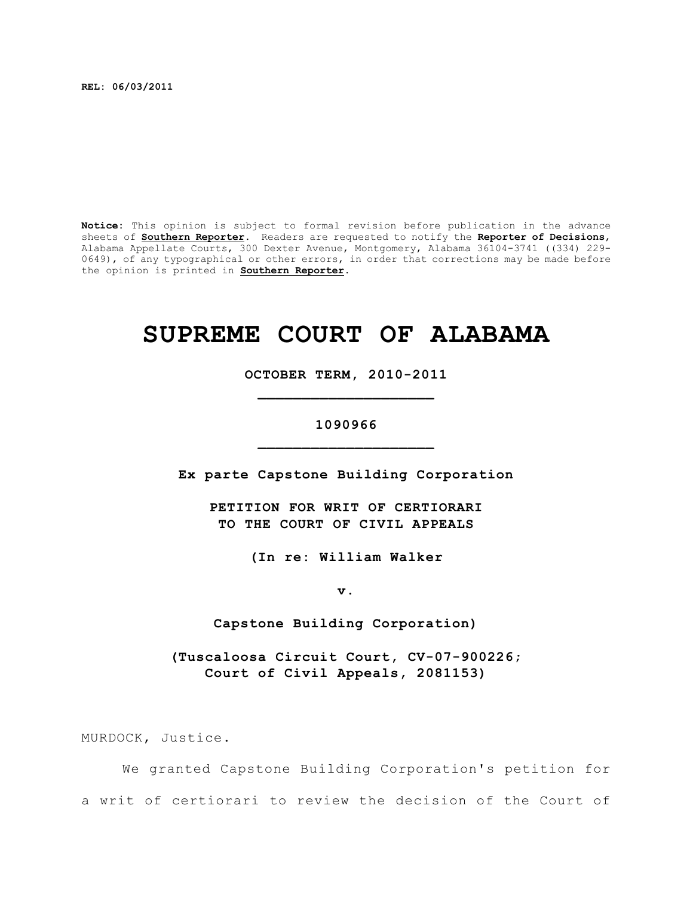**REL: 06/03/2011**

**Notice:** This opinion is subject to formal revision before publication in the advance sheets of **Southern Reporter**. Readers are requested to notify the **Reporter of Decisions**, Alabama Appellate Courts, 300 Dexter Avenue, Montgomery, Alabama 36104-3741 ((334) 229- 0649), of any typographical or other errors, in order that corrections may be made before the opinion is printed in **Southern Reporter**.

# **SUPREME COURT OF ALABAMA**

**OCTOBER TERM, 2010-2011 \_\_\_\_\_\_\_\_\_\_\_\_\_\_\_\_\_\_\_\_**

## **1090966 \_\_\_\_\_\_\_\_\_\_\_\_\_\_\_\_\_\_\_\_**

**Ex parte Capstone Building Corporation**

**PETITION FOR WRIT OF CERTIORARI TO THE COURT OF CIVIL APPEALS**

**(In re: William Walker**

**v.**

**Capstone Building Corporation)**

**(Tuscaloosa Circuit Court, CV-07-900226; Court of Civil Appeals, 2081153)**

MURDOCK, Justice.

We granted Capstone Building Corporation's petition for a writ of certiorari to review the decision of the Court of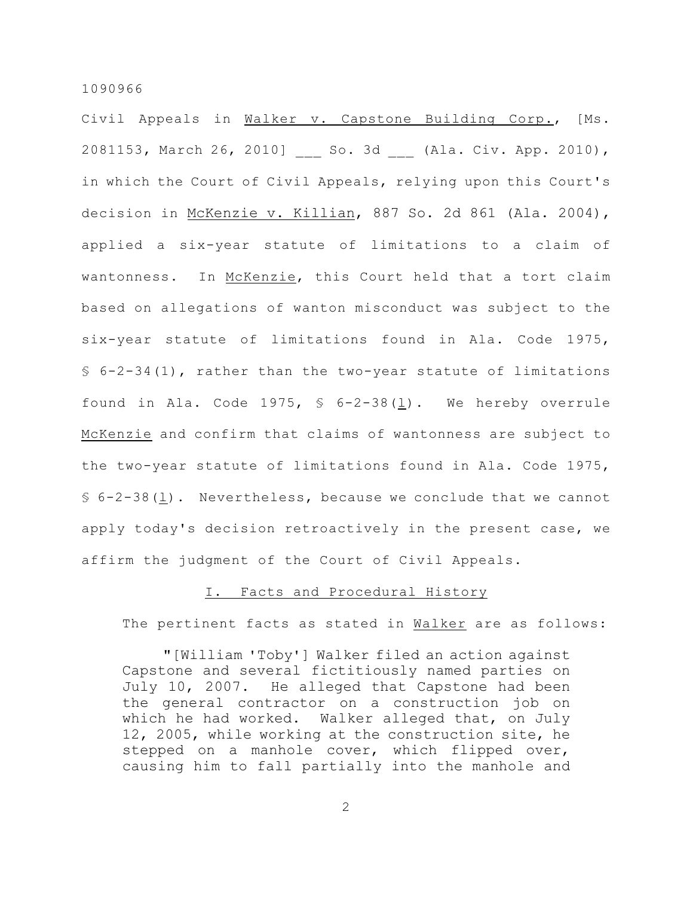Civil Appeals in Walker v. Capstone Building Corp., [Ms. 2081153, March 26, 2010] So. 3d (Ala. Civ. App. 2010), in which the Court of Civil Appeals, relying upon this Court's decision in McKenzie v. Killian, 887 So. 2d 861 (Ala. 2004), applied a six-year statute of limitations to a claim of wantonness. In McKenzie, this Court held that a tort claim based on allegations of wanton misconduct was subject to the six-year statute of limitations found in Ala. Code 1975,  $$6-2-34(1)$ , rather than the two-year statute of limitations found in Ala. Code 1975, § 6-2-38(l). We hereby overrule McKenzie and confirm that claims of wantonness are subject to the two-year statute of limitations found in Ala. Code 1975, § 6-2-38(l). Nevertheless, because we conclude that we cannot apply today's decision retroactively in the present case, we affirm the judgment of the Court of Civil Appeals.

## I. Facts and Procedural History

The pertinent facts as stated in Walker are as follows:

"[William 'Toby'] Walker filed an action against Capstone and several fictitiously named parties on July 10, 2007. He alleged that Capstone had been the general contractor on a construction job on which he had worked. Walker alleged that, on July 12, 2005, while working at the construction site, he stepped on a manhole cover, which flipped over, causing him to fall partially into the manhole and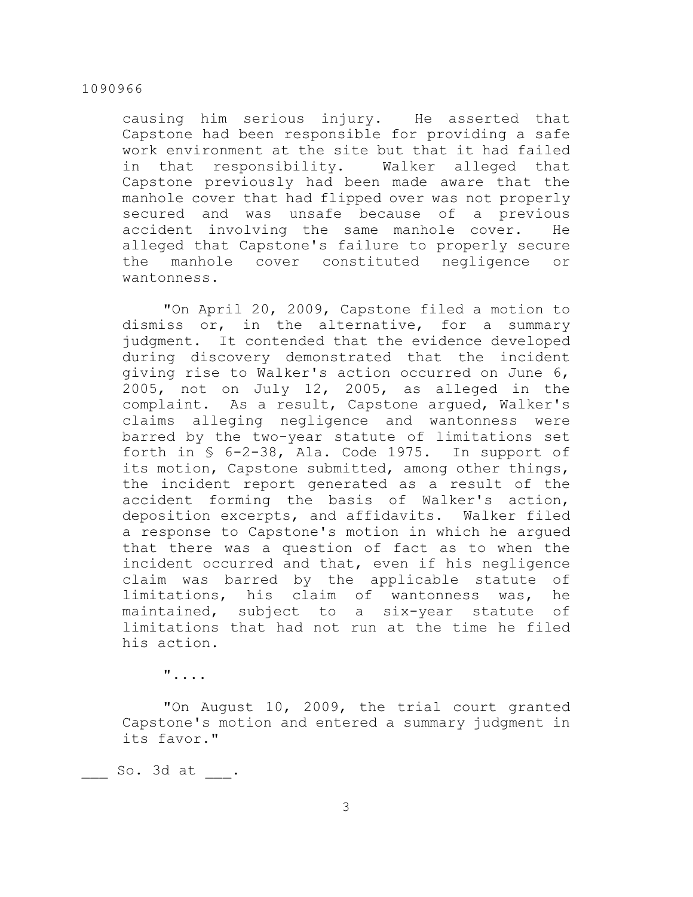causing him serious injury. He asserted that Capstone had been responsible for providing a safe work environment at the site but that it had failed in that responsibility. Walker alleged that Capstone previously had been made aware that the manhole cover that had flipped over was not properly secured and was unsafe because of a previous accident involving the same manhole cover. He alleged that Capstone's failure to properly secure the manhole cover constituted negligence or wantonness.

"On April 20, 2009, Capstone filed a motion to dismiss or, in the alternative, for a summary judgment. It contended that the evidence developed during discovery demonstrated that the incident giving rise to Walker's action occurred on June 6, 2005, not on July 12, 2005, as alleged in the complaint. As a result, Capstone argued, Walker's claims alleging negligence and wantonness were barred by the two-year statute of limitations set forth in § 6-2-38, Ala. Code 1975. In support of its motion, Capstone submitted, among other things, the incident report generated as a result of the accident forming the basis of Walker's action, deposition excerpts, and affidavits. Walker filed a response to Capstone's motion in which he argued that there was a question of fact as to when the incident occurred and that, even if his negligence claim was barred by the applicable statute of limitations, his claim of wantonness was, he maintained, subject to a six-year statute of limitations that had not run at the time he filed his action.

"....

"On August 10, 2009, the trial court granted Capstone's motion and entered a summary judgment in its favor."

So. 3d at .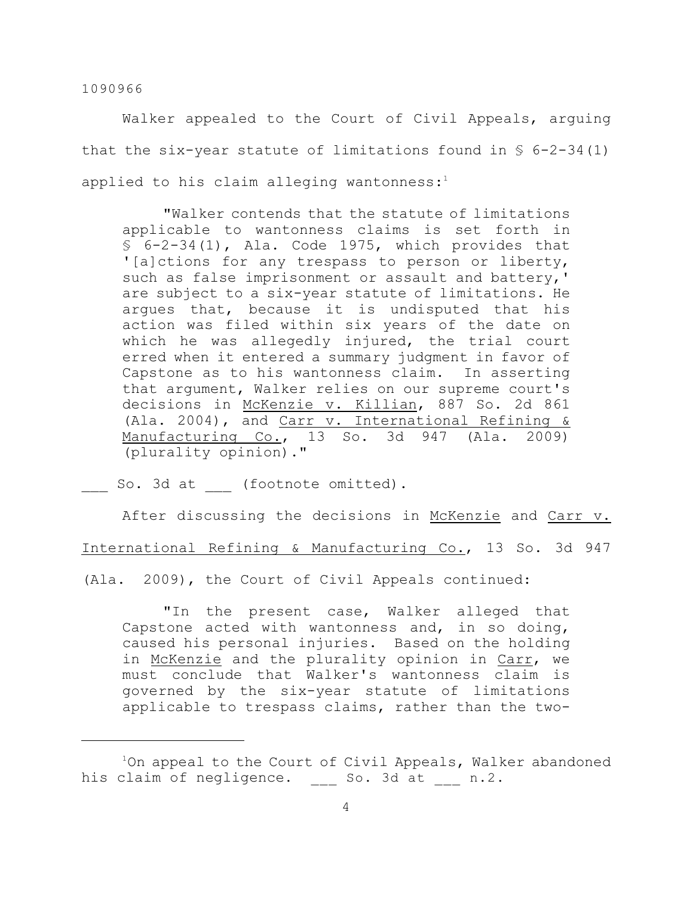Walker appealed to the Court of Civil Appeals, arguing that the six-year statute of limitations found in  $\S$  6-2-34(1) applied to his claim alleging wantonness: $1$ 

"Walker contends that the statute of limitations applicable to wantonness claims is set forth in § 6-2-34(1), Ala. Code 1975, which provides that '[a]ctions for any trespass to person or liberty, such as false imprisonment or assault and battery,' are subject to a six-year statute of limitations. He argues that, because it is undisputed that his action was filed within six years of the date on which he was allegedly injured, the trial court erred when it entered a summary judgment in favor of Capstone as to his wantonness claim. In asserting that argument, Walker relies on our supreme court's decisions in McKenzie v. Killian, 887 So. 2d 861 (Ala. 2004), and Carr v. International Refining & Manufacturing Co., 13 So. 3d 947 (Ala. 2009) (plurality opinion)."

So. 3d at (footnote omitted).

After discussing the decisions in McKenzie and Carr v.

International Refining & Manufacturing Co., 13 So. 3d 947

(Ala. 2009), the Court of Civil Appeals continued:

"In the present case, Walker alleged that Capstone acted with wantonness and, in so doing, caused his personal injuries. Based on the holding in McKenzie and the plurality opinion in Carr, we must conclude that Walker's wantonness claim is governed by the six-year statute of limitations applicable to trespass claims, rather than the two-

 $1$ On appeal to the Court of Civil Appeals, Walker abandoned his claim of negligence. So. 3d at n.2.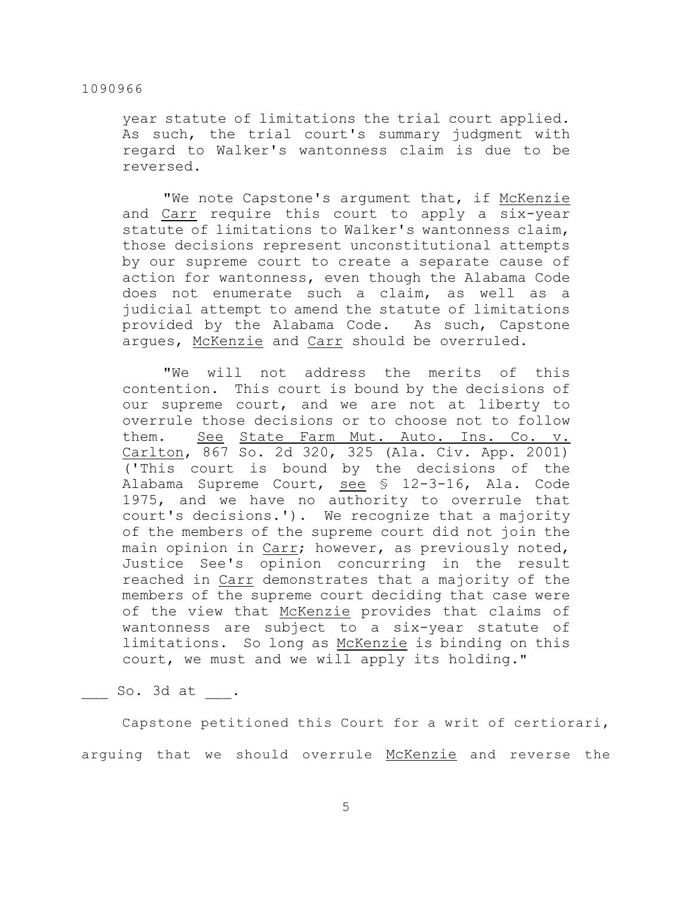year statute of limitations the trial court applied. As such, the trial court's summary judgment with regard to Walker's wantonness claim is due to be reversed.

"We note Capstone's argument that, if McKenzie and Carr require this court to apply a six-year statute of limitations to Walker's wantonness claim, those decisions represent unconstitutional attempts by our supreme court to create a separate cause of action for wantonness, even though the Alabama Code does not enumerate such a claim, as well as a judicial attempt to amend the statute of limitations provided by the Alabama Code. As such, Capstone argues, McKenzie and Carr should be overruled.

"We will not address the merits of this contention. This court is bound by the decisions of our supreme court, and we are not at liberty to overrule those decisions or to choose not to follow them. See State Farm Mut. Auto. Ins. Co. v. Carlton, 867 So. 2d 320, 325 (Ala. Civ. App. 2001) ('This court is bound by the decisions of the Alabama Supreme Court, see § 12-3-16, Ala. Code 1975, and we have no authority to overrule that court's decisions.'). We recognize that a majority of the members of the supreme court did not join the main opinion in Carr; however, as previously noted, Justice See's opinion concurring in the result reached in Carr demonstrates that a majority of the members of the supreme court deciding that case were of the view that McKenzie provides that claims of wantonness are subject to a six-year statute of limitations. So long as McKenzie is binding on this court, we must and we will apply its holding."

So. 3d at  $\blacksquare$ 

Capstone petitioned this Court for a writ of certiorari, arguing that we should overrule McKenzie and reverse the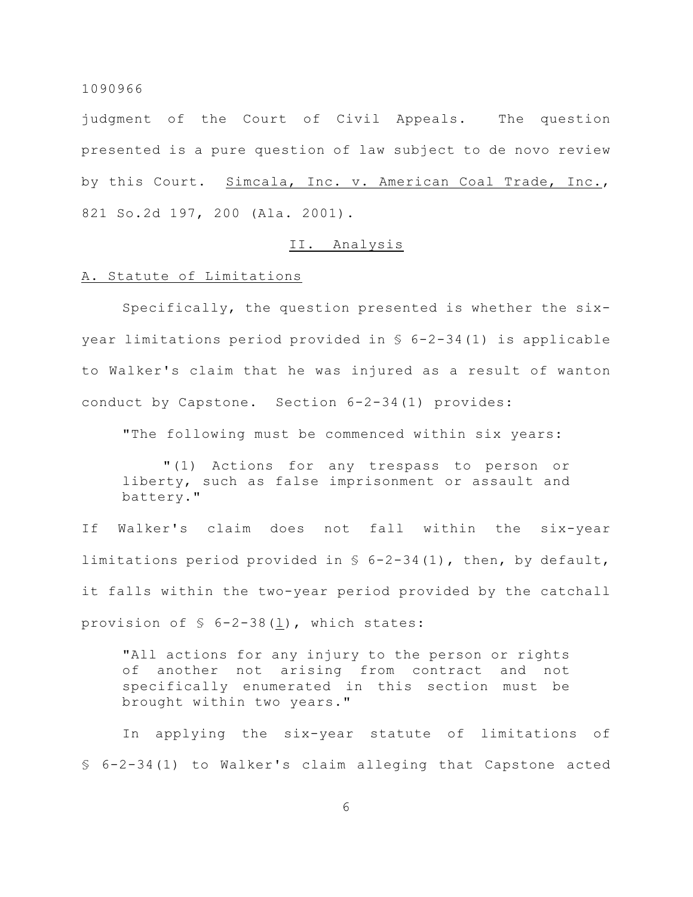judgment of the Court of Civil Appeals. The question presented is a pure question of law subject to de novo review by this Court. Simcala, Inc. v. American Coal Trade, Inc., 821 So.2d 197, 200 (Ala. 2001).

## II. Analysis

## A. Statute of Limitations

Specifically, the question presented is whether the sixyear limitations period provided in § 6-2-34(1) is applicable to Walker's claim that he was injured as a result of wanton conduct by Capstone. Section 6-2-34(1) provides:

"The following must be commenced within six years:

"(1) Actions for any trespass to person or liberty, such as false imprisonment or assault and battery."

If Walker's claim does not fall within the six-year limitations period provided in § 6-2-34(1), then, by default, it falls within the two-year period provided by the catchall provision of § 6-2-38(l), which states:

"All actions for any injury to the person or rights of another not arising from contract and not specifically enumerated in this section must be brought within two years."

In applying the six-year statute of limitations of § 6-2-34(1) to Walker's claim alleging that Capstone acted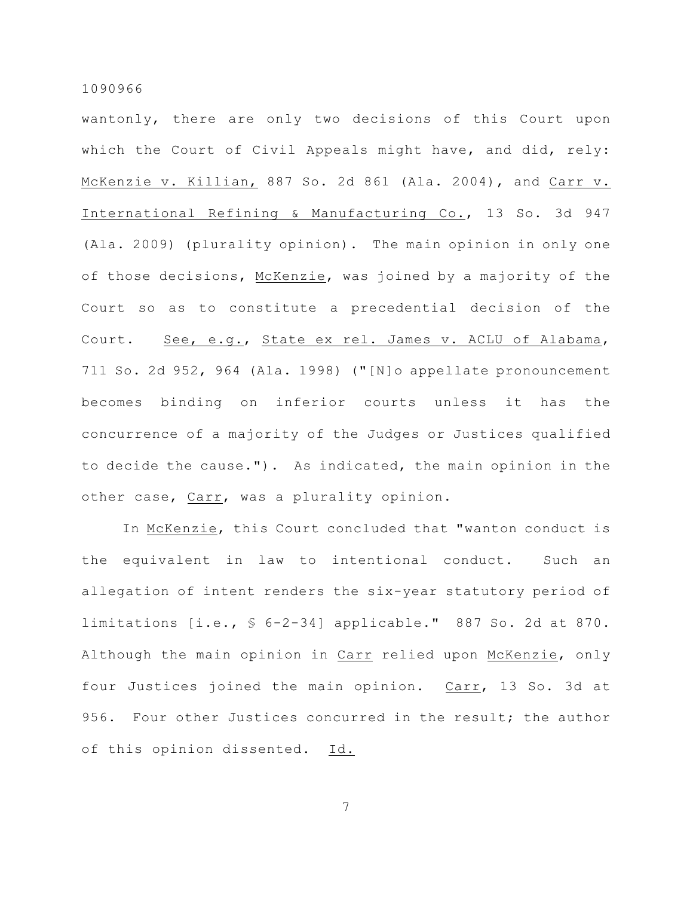wantonly, there are only two decisions of this Court upon which the Court of Civil Appeals might have, and did, rely: McKenzie v. Killian, 887 So. 2d 861 (Ala. 2004), and Carr v. International Refining & Manufacturing Co., 13 So. 3d 947 (Ala. 2009) (plurality opinion). The main opinion in only one of those decisions, McKenzie, was joined by a majority of the Court so as to constitute a precedential decision of the Court. See, e.g., State ex rel. James v. ACLU of Alabama, 711 So. 2d 952, 964 (Ala. 1998) ("[N]o appellate pronouncement becomes binding on inferior courts unless it has the concurrence of a majority of the Judges or Justices qualified to decide the cause."). As indicated, the main opinion in the other case, Carr, was a plurality opinion.

In McKenzie, this Court concluded that "wanton conduct is the equivalent in law to intentional conduct. Such an allegation of intent renders the six-year statutory period of limitations [i.e., § 6-2-34] applicable." 887 So. 2d at 870. Although the main opinion in Carr relied upon McKenzie, only four Justices joined the main opinion. Carr, 13 So. 3d at 956. Four other Justices concurred in the result; the author of this opinion dissented. Id.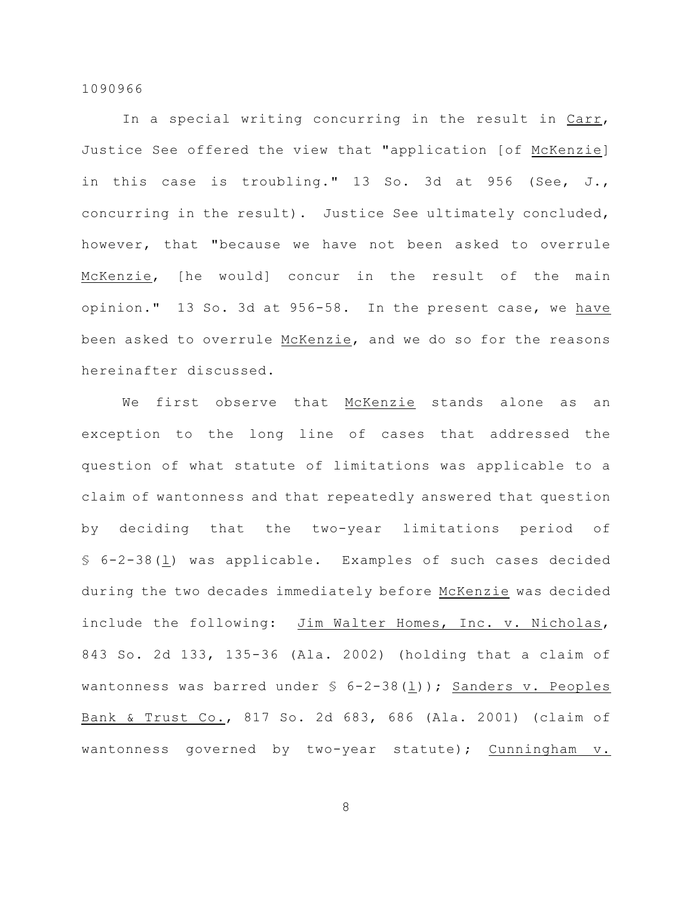In a special writing concurring in the result in Carr, Justice See offered the view that "application [of McKenzie] in this case is troubling." 13 So. 3d at 956 (See, J., concurring in the result). Justice See ultimately concluded, however, that "because we have not been asked to overrule McKenzie, [he would] concur in the result of the main opinion." 13 So. 3d at 956-58. In the present case, we have been asked to overrule McKenzie, and we do so for the reasons hereinafter discussed.

We first observe that McKenzie stands alone as an exception to the long line of cases that addressed the question of what statute of limitations was applicable to a claim of wantonness and that repeatedly answered that question by deciding that the two-year limitations period of § 6-2-38(l) was applicable. Examples of such cases decided during the two decades immediately before McKenzie was decided include the following: Jim Walter Homes, Inc. v. Nicholas, 843 So. 2d 133, 135-36 (Ala. 2002) (holding that a claim of wantonness was barred under  $\S$  6-2-38(1)); Sanders v. Peoples Bank & Trust Co., 817 So. 2d 683, 686 (Ala. 2001) (claim of wantonness governed by two-year statute); Cunningham v.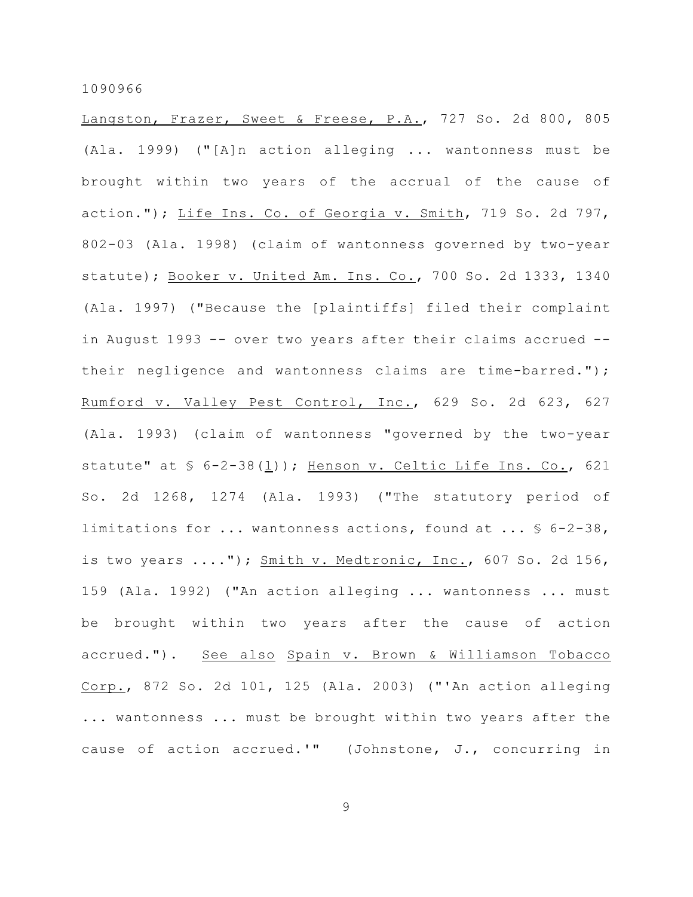Langston, Frazer, Sweet & Freese, P.A., 727 So. 2d 800, 805 (Ala. 1999) ("[A]n action alleging ... wantonness must be brought within two years of the accrual of the cause of action."); Life Ins. Co. of Georgia v. Smith, 719 So. 2d 797, 802-03 (Ala. 1998) (claim of wantonness governed by two-year statute); Booker v. United Am. Ins. Co., 700 So. 2d 1333, 1340 (Ala. 1997) ("Because the [plaintiffs] filed their complaint in August 1993 -- over two years after their claims accrued - their negligence and wantonness claims are time-barred."); Rumford v. Valley Pest Control, Inc., 629 So. 2d 623, 627 (Ala. 1993) (claim of wantonness "governed by the two-year statute" at  $\frac{1}{2}$  6-2-38(1)); Henson v. Celtic Life Ins. Co., 621 So. 2d 1268, 1274 (Ala. 1993) ("The statutory period of limitations for ... wantonness actions, found at ... § 6-2-38, is two years  $\dots$ ."); Smith v. Medtronic, Inc., 607 So. 2d 156, 159 (Ala. 1992) ("An action alleging ... wantonness ... must be brought within two years after the cause of action accrued."). See also Spain v. Brown & Williamson Tobacco Corp., 872 So. 2d 101, 125 (Ala. 2003) ("'An action alleging ... wantonness ... must be brought within two years after the cause of action accrued.'" (Johnstone, J., concurring in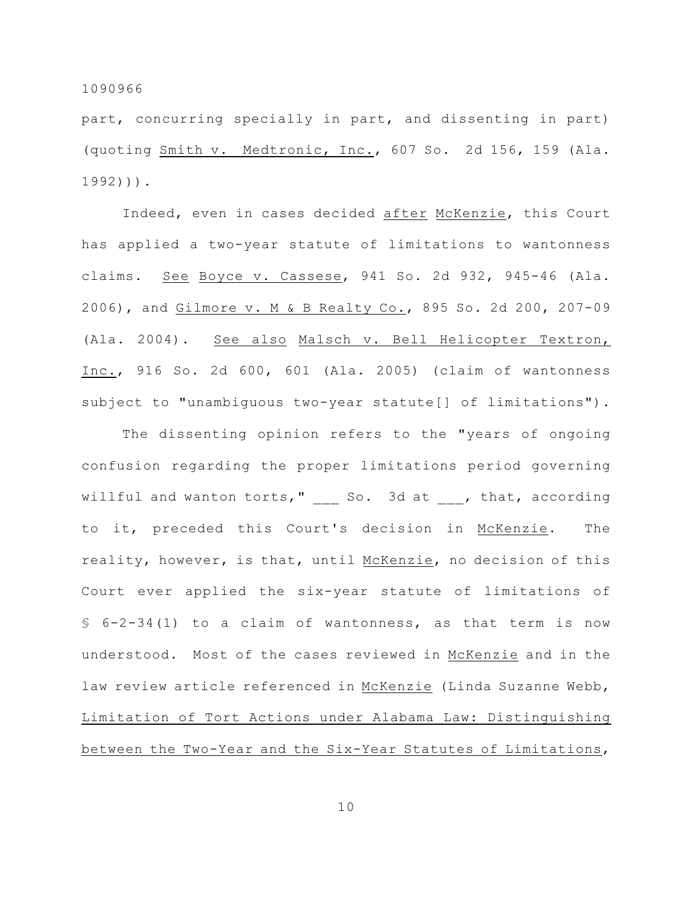part, concurring specially in part, and dissenting in part) (quoting Smith v. Medtronic, Inc., 607 So. 2d 156, 159 (Ala. 1992))).

Indeed, even in cases decided after McKenzie, this Court has applied a two-year statute of limitations to wantonness claims. See Boyce v. Cassese, 941 So. 2d 932, 945-46 (Ala. 2006), and Gilmore v. M & B Realty Co., 895 So. 2d 200, 207-09 (Ala. 2004). See also Malsch v. Bell Helicopter Textron, Inc., 916 So. 2d 600, 601 (Ala. 2005) (claim of wantonness subject to "unambiguous two-year statute[] of limitations").

The dissenting opinion refers to the "years of ongoing confusion regarding the proper limitations period governing willful and wanton torts," \_\_\_ So. 3d at \_\_\_, that, according to it, preceded this Court's decision in McKenzie. The reality, however, is that, until McKenzie, no decision of this Court ever applied the six-year statute of limitations of § 6-2-34(1) to a claim of wantonness, as that term is now understood. Most of the cases reviewed in McKenzie and in the law review article referenced in McKenzie (Linda Suzanne Webb, Limitation of Tort Actions under Alabama Law: Distinguishing between the Two-Year and the Six-Year Statutes of Limitations,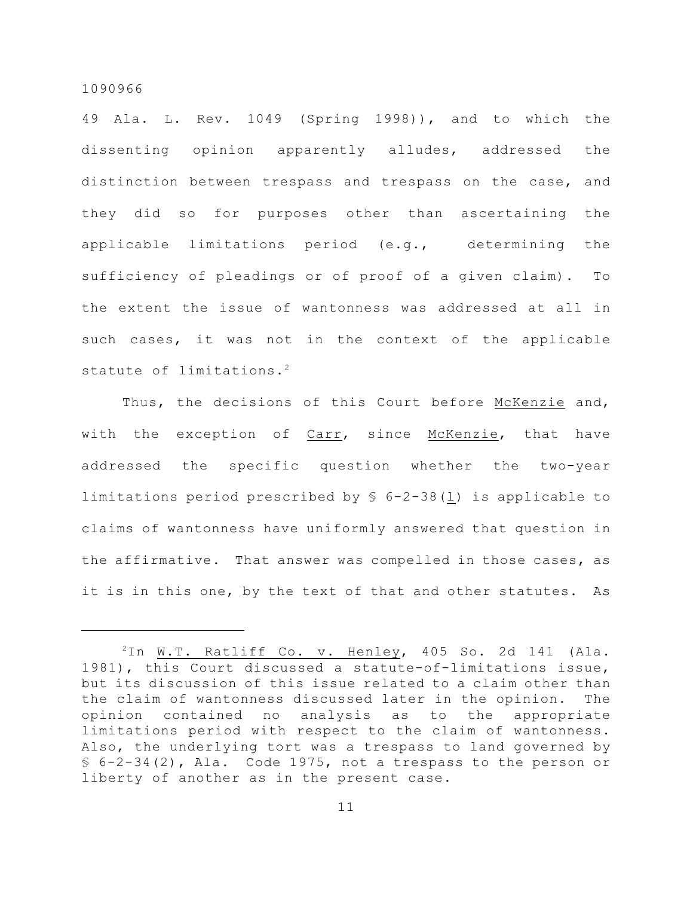49 Ala. L. Rev. 1049 (Spring 1998)), and to which the dissenting opinion apparently alludes, addressed the distinction between trespass and trespass on the case, and they did so for purposes other than ascertaining the applicable limitations period (e.g., determining the sufficiency of pleadings or of proof of a given claim). To the extent the issue of wantonness was addressed at all in such cases, it was not in the context of the applicable statute of limitations.<sup>2</sup>

Thus, the decisions of this Court before McKenzie and, with the exception of Carr, since McKenzie, that have addressed the specific question whether the two-year limitations period prescribed by  $$ 6-2-38 (1)$  is applicable to claims of wantonness have uniformly answered that question in the affirmative. That answer was compelled in those cases, as it is in this one, by the text of that and other statutes. As

 $2$ In W.T. Ratliff Co. v. Henley, 405 So. 2d 141 (Ala. 1981), this Court discussed a statute-of-limitations issue, but its discussion of this issue related to a claim other than the claim of wantonness discussed later in the opinion. The opinion contained no analysis as to the appropriate limitations period with respect to the claim of wantonness. Also, the underlying tort was a trespass to land governed by § 6-2-34(2), Ala. Code 1975, not a trespass to the person or liberty of another as in the present case.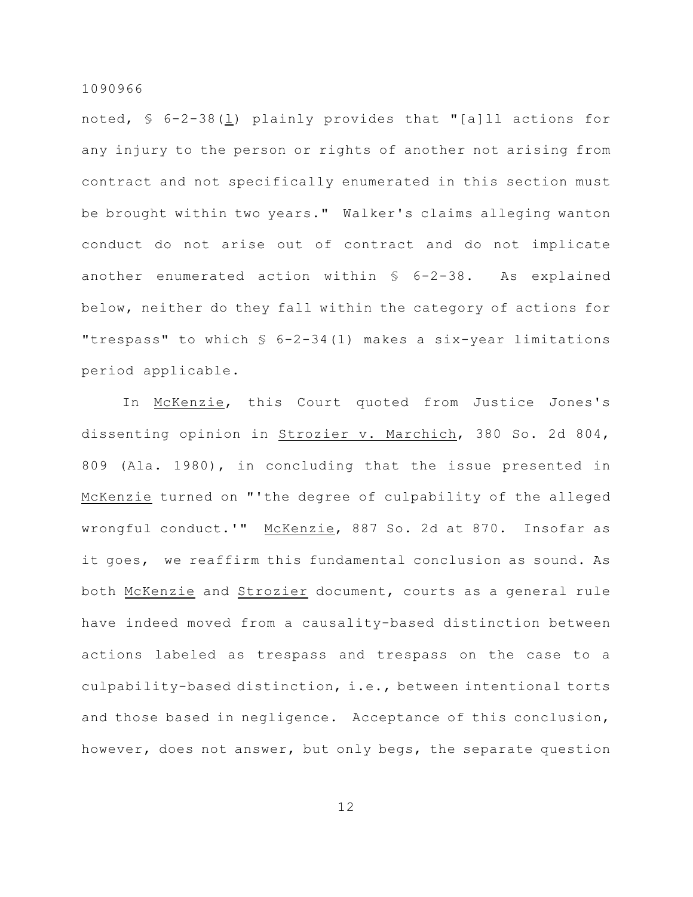noted, § 6-2-38(l) plainly provides that "[a]ll actions for any injury to the person or rights of another not arising from contract and not specifically enumerated in this section must be brought within two years." Walker's claims alleging wanton conduct do not arise out of contract and do not implicate another enumerated action within § 6-2-38. As explained below, neither do they fall within the category of actions for "trespass" to which § 6-2-34(1) makes a six-year limitations period applicable.

In McKenzie, this Court quoted from Justice Jones's dissenting opinion in Strozier v. Marchich, 380 So. 2d 804, 809 (Ala. 1980), in concluding that the issue presented in McKenzie turned on "'the degree of culpability of the alleged wrongful conduct.'" McKenzie, 887 So. 2d at 870. Insofar as it goes, we reaffirm this fundamental conclusion as sound. As both McKenzie and Strozier document, courts as a general rule have indeed moved from a causality-based distinction between actions labeled as trespass and trespass on the case to a culpability-based distinction, i.e., between intentional torts and those based in negligence. Acceptance of this conclusion, however, does not answer, but only begs, the separate question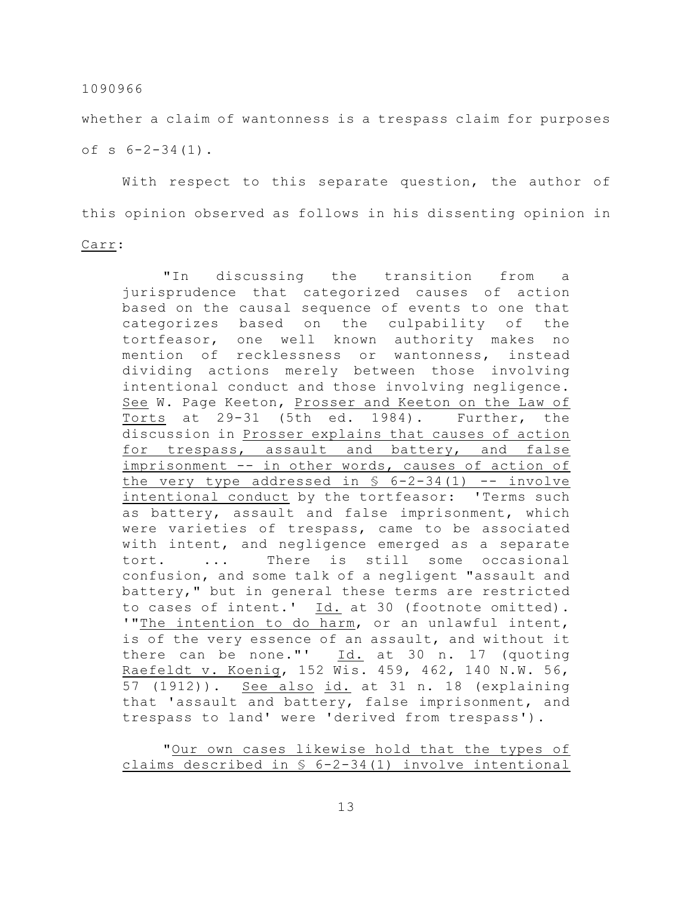whether a claim of wantonness is a trespass claim for purposes of  $s$  6-2-34 $(1)$ .

With respect to this separate question, the author of this opinion observed as follows in his dissenting opinion in

## Carr:

"In discussing the transition from a jurisprudence that categorized causes of action based on the causal sequence of events to one that categorizes based on the culpability of the tortfeasor, one well known authority makes no mention of recklessness or wantonness, instead dividing actions merely between those involving intentional conduct and those involving negligence. See W. Page Keeton, Prosser and Keeton on the Law of Torts at 29-31 (5th ed. 1984). Further, the discussion in Prosser explains that causes of action for trespass, assault and battery, and false imprisonment -- in other words, causes of action of the very type addressed in  $\S$  6-2-34(1) -- involve intentional conduct by the tortfeasor: 'Terms such as battery, assault and false imprisonment, which were varieties of trespass, came to be associated with intent, and negligence emerged as a separate tort. ... There is still some occasional confusion, and some talk of a negligent "assault and battery," but in general these terms are restricted to cases of intent.' Id. at 30 (footnote omitted). '"The intention to do harm, or an unlawful intent, is of the very essence of an assault, and without it there can be none."'  $Id.$  at 30 n. 17 (quoting Raefeldt v. Koenig, 152 Wis. 459, 462, 140 N.W. 56, 57 (1912)). See also id. at 31 n. 18 (explaining that 'assault and battery, false imprisonment, and trespass to land' were 'derived from trespass').

"Our own cases likewise hold that the types of claims described in § 6-2-34(1) involve intentional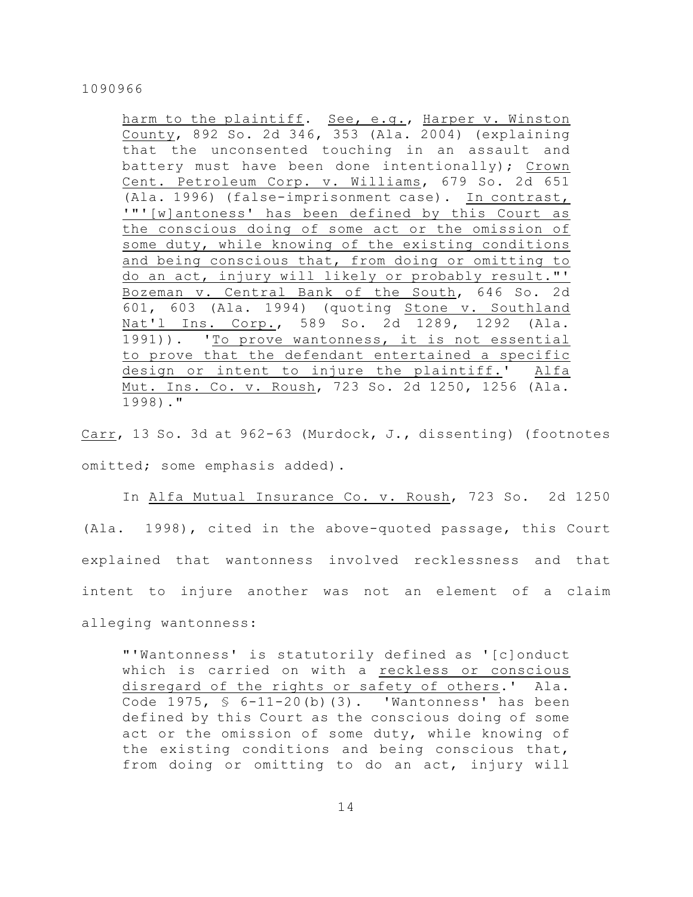harm to the plaintiff. See, e.g., Harper v. Winston County, 892 So. 2d 346, 353 (Ala. 2004) (explaining that the unconsented touching in an assault and battery must have been done intentionally); Crown Cent. Petroleum Corp. v. Williams, 679 So. 2d 651 (Ala. 1996) (false-imprisonment case). In contrast, '"'[w]antoness' has been defined by this Court as the conscious doing of some act or the omission of some duty, while knowing of the existing conditions and being conscious that, from doing or omitting to do an act, injury will likely or probably result."' Bozeman v. Central Bank of the South, 646 So. 2d 601, 603 (Ala. 1994) (quoting Stone v. Southland Nat'l Ins. Corp., 589 So. 2d 1289, 1292 (Ala. 1991)). 'To prove wantonness, it is not essential to prove that the defendant entertained a specific design or intent to injure the plaintiff.' Alfa Mut. Ins. Co. v. Roush, 723 So. 2d 1250, 1256 (Ala. 1998)."

Carr, 13 So. 3d at 962-63 (Murdock, J., dissenting) (footnotes omitted; some emphasis added).

In Alfa Mutual Insurance Co. v. Roush, 723 So. 2d 1250 (Ala. 1998), cited in the above-quoted passage, this Court explained that wantonness involved recklessness and that intent to injure another was not an element of a claim alleging wantonness:

"'Wantonness' is statutorily defined as '[c]onduct which is carried on with a reckless or conscious disregard of the rights or safety of others.' Ala. Code 1975, § 6-11-20(b)(3). 'Wantonness' has been defined by this Court as the conscious doing of some act or the omission of some duty, while knowing of the existing conditions and being conscious that, from doing or omitting to do an act, injury will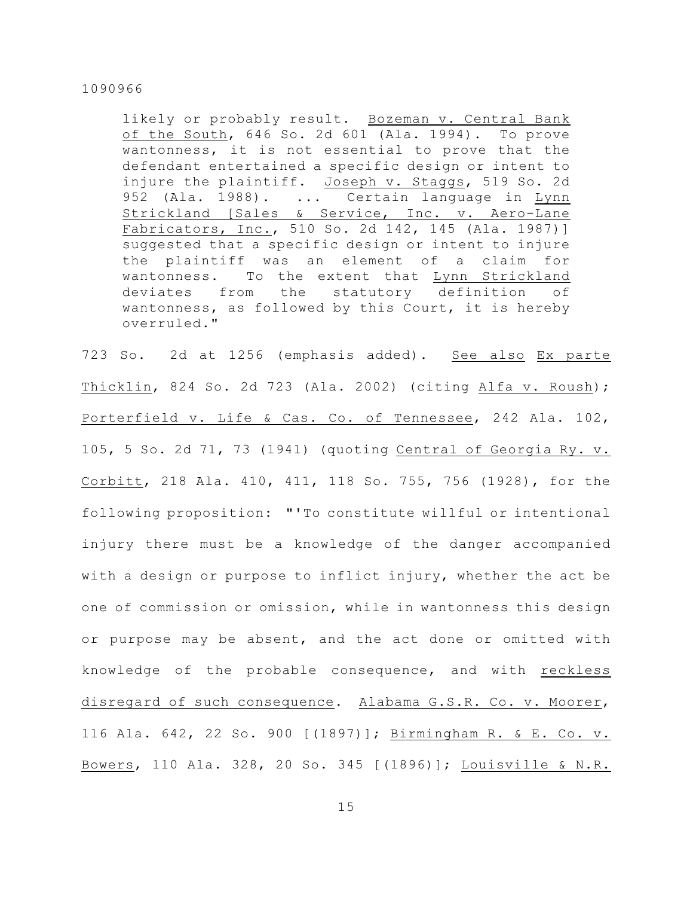likely or probably result. Bozeman v. Central Bank of the South, 646 So. 2d 601 (Ala. 1994). To prove wantonness, it is not essential to prove that the defendant entertained a specific design or intent to injure the plaintiff. Joseph v. Staggs, 519 So. 2d 952 (Ala. 1988). ... Certain language in Lynn Strickland [Sales & Service, Inc. v. Aero-Lane Fabricators, Inc., 510 So. 2d 142, 145 (Ala. 1987)] suggested that a specific design or intent to injure the plaintiff was an element of a claim for wantonness. To the extent that Lynn Strickland deviates from the statutory definition of wantonness, as followed by this Court, it is hereby overruled."

723 So. 2d at 1256 (emphasis added). See also Ex parte Thicklin, 824 So. 2d 723 (Ala. 2002) (citing Alfa v. Roush); Porterfield v. Life & Cas. Co. of Tennessee, 242 Ala. 102, 105, 5 So. 2d 71, 73 (1941) (quoting Central of Georgia Ry. v. Corbitt, 218 Ala. 410, 411, 118 So. 755, 756 (1928), for the following proposition: "'To constitute willful or intentional injury there must be a knowledge of the danger accompanied with a design or purpose to inflict injury, whether the act be one of commission or omission, while in wantonness this design or purpose may be absent, and the act done or omitted with knowledge of the probable consequence, and with reckless disregard of such consequence. Alabama G.S.R. Co. v. Moorer, 116 Ala. 642, 22 So. 900 [(1897)]; Birmingham R. & E. Co. v. Bowers, 110 Ala. 328, 20 So. 345 [(1896)]; Louisville & N.R.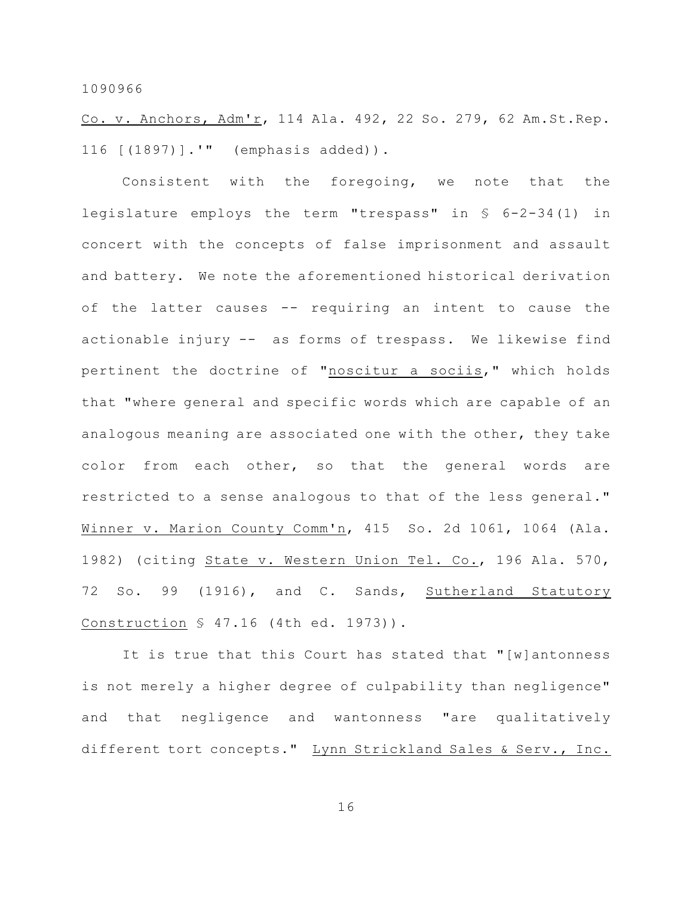Co. v. Anchors, Adm'r, 114 Ala. 492, 22 So. 279, 62 Am.St.Rep. 116 [(1897)].'" (emphasis added)).

Consistent with the foregoing, we note that the legislature employs the term "trespass" in § 6-2-34(1) in concert with the concepts of false imprisonment and assault and battery. We note the aforementioned historical derivation of the latter causes -- requiring an intent to cause the actionable injury -- as forms of trespass. We likewise find pertinent the doctrine of "noscitur a sociis," which holds that "where general and specific words which are capable of an analogous meaning are associated one with the other, they take color from each other, so that the general words are restricted to a sense analogous to that of the less general." Winner v. Marion County Comm'n, 415 So. 2d 1061, 1064 (Ala. 1982) (citing State v. Western Union Tel. Co., 196 Ala. 570, 72 So. 99 (1916), and C. Sands, Sutherland Statutory Construction § 47.16 (4th ed. 1973)).

It is true that this Court has stated that "[w]antonness is not merely a higher degree of culpability than negligence" and that negligence and wantonness "are qualitatively different tort concepts." Lynn Strickland Sales & Serv., Inc.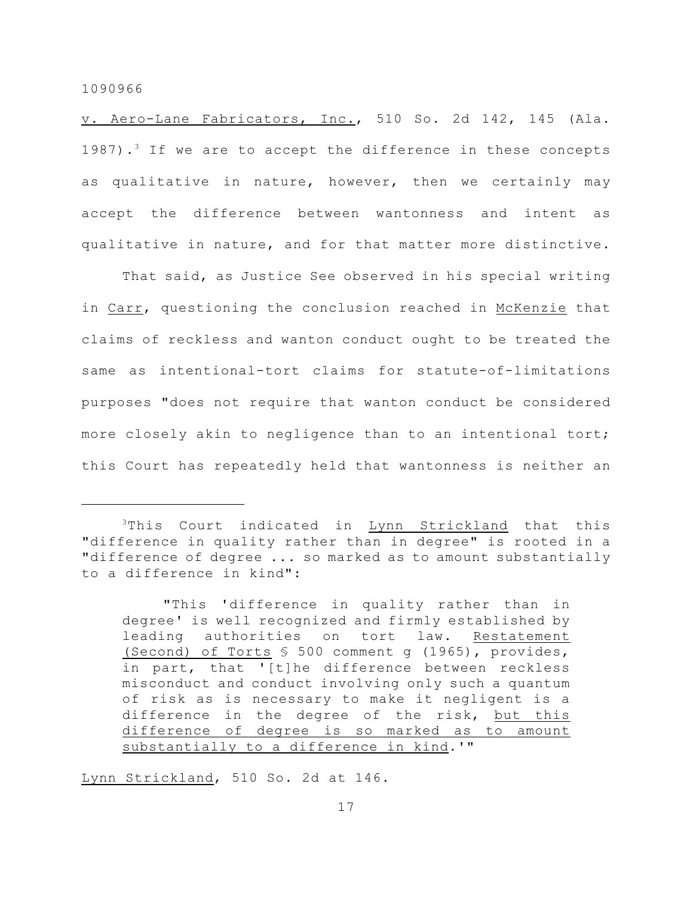v. Aero-Lane Fabricators, Inc., 510 So. 2d 142, 145 (Ala. 1987).<sup>3</sup> If we are to accept the difference in these concepts as qualitative in nature, however, then we certainly may accept the difference between wantonness and intent as qualitative in nature, and for that matter more distinctive.

That said, as Justice See observed in his special writing in Carr, questioning the conclusion reached in McKenzie that claims of reckless and wanton conduct ought to be treated the same as intentional-tort claims for statute-of-limitations purposes "does not require that wanton conduct be considered more closely akin to negligence than to an intentional tort; this Court has repeatedly held that wantonness is neither an

"This 'difference in quality rather than in degree' is well recognized and firmly established by leading authorities on tort law. Restatement (Second) of Torts § 500 comment g (1965), provides, in part, that '[t]he difference between reckless misconduct and conduct involving only such a quantum of risk as is necessary to make it negligent is a difference in the degree of the risk, but this difference of degree is so marked as to amount substantially to a difference in kind.'"

Lynn Strickland, 510 So. 2d at 146.

 $3$ This Court indicated in  $Lynn$  Strickland that this "difference in quality rather than in degree" is rooted in a "difference of degree ... so marked as to amount substantially to a difference in kind":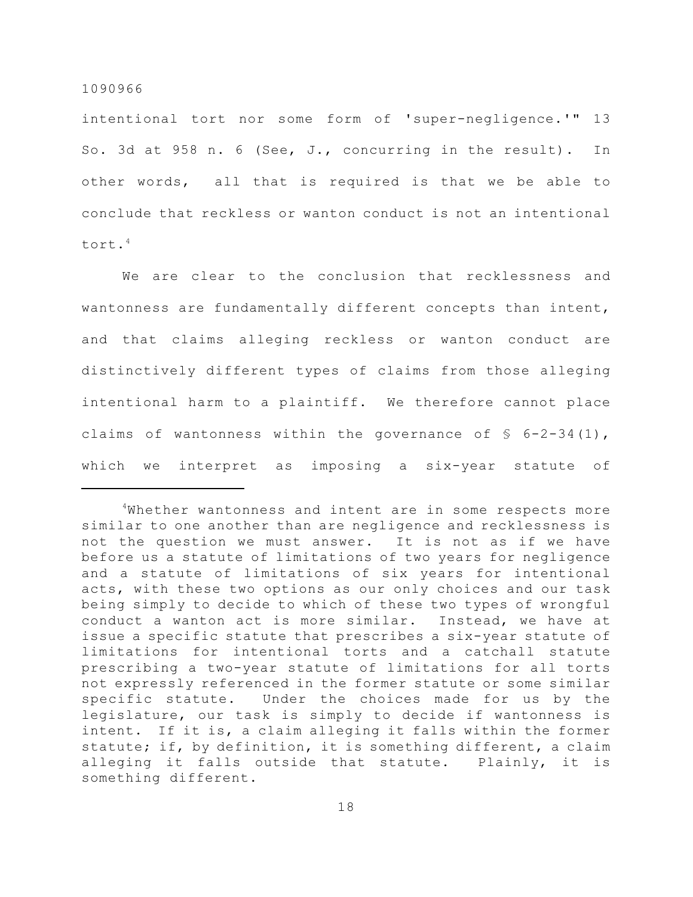intentional tort nor some form of 'super-negligence.'" 13 So. 3d at 958 n. 6 (See, J., concurring in the result). In other words, all that is required is that we be able to conclude that reckless or wanton conduct is not an intentional tort.<sup>4</sup>

We are clear to the conclusion that recklessness and wantonness are fundamentally different concepts than intent, and that claims alleging reckless or wanton conduct are distinctively different types of claims from those alleging intentional harm to a plaintiff. We therefore cannot place claims of wantonness within the governance of  $\frac{1}{5}$  6-2-34(1), which we interpret as imposing a six-year statute of

 $4$ Whether wantonness and intent are in some respects more similar to one another than are negligence and recklessness is not the question we must answer. It is not as if we have before us a statute of limitations of two years for negligence and a statute of limitations of six years for intentional acts, with these two options as our only choices and our task being simply to decide to which of these two types of wrongful conduct a wanton act is more similar. Instead, we have at issue a specific statute that prescribes a six-year statute of limitations for intentional torts and a catchall statute prescribing a two-year statute of limitations for all torts not expressly referenced in the former statute or some similar specific statute. Under the choices made for us by the legislature, our task is simply to decide if wantonness is intent. If it is, a claim alleging it falls within the former statute; if, by definition, it is something different, a claim alleging it falls outside that statute. Plainly, it is something different.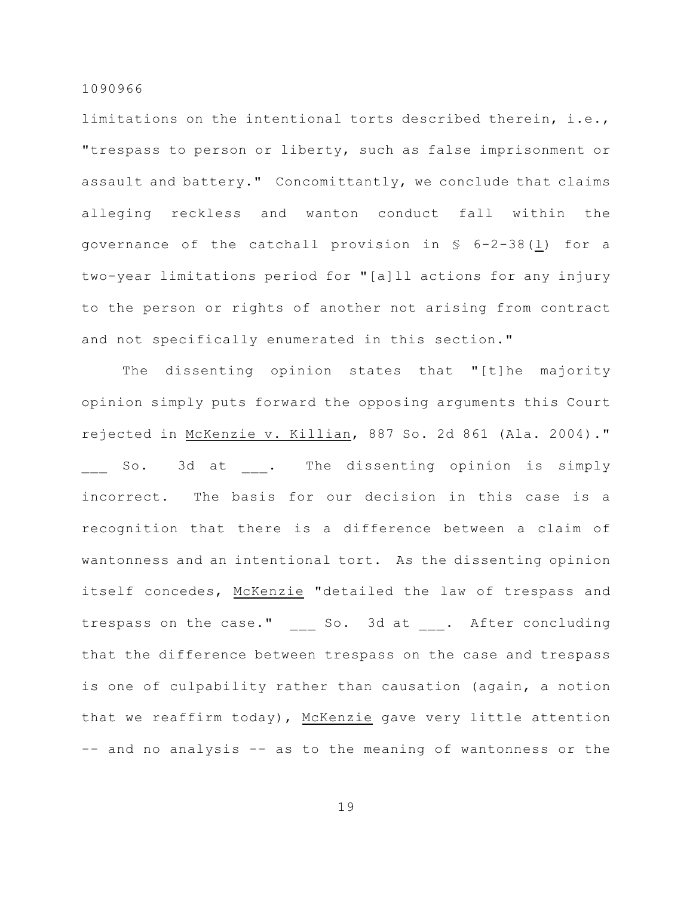limitations on the intentional torts described therein, i.e., "trespass to person or liberty, such as false imprisonment or assault and battery." Concomittantly, we conclude that claims alleging reckless and wanton conduct fall within the governance of the catchall provision in § 6-2-38(l) for a two-year limitations period for "[a]ll actions for any injury to the person or rights of another not arising from contract and not specifically enumerated in this section."

The dissenting opinion states that "[t]he majority opinion simply puts forward the opposing arguments this Court rejected in McKenzie v. Killian, 887 So. 2d 861 (Ala. 2004)." \_\_\_ So. 3d at \_\_\_. The dissenting opinion is simply incorrect. The basis for our decision in this case is a recognition that there is a difference between a claim of wantonness and an intentional tort. As the dissenting opinion itself concedes, McKenzie "detailed the law of trespass and trespass on the case." \_\_\_ So. 3d at \_\_\_. After concluding that the difference between trespass on the case and trespass is one of culpability rather than causation (again, a notion that we reaffirm today), McKenzie gave very little attention -- and no analysis -- as to the meaning of wantonness or the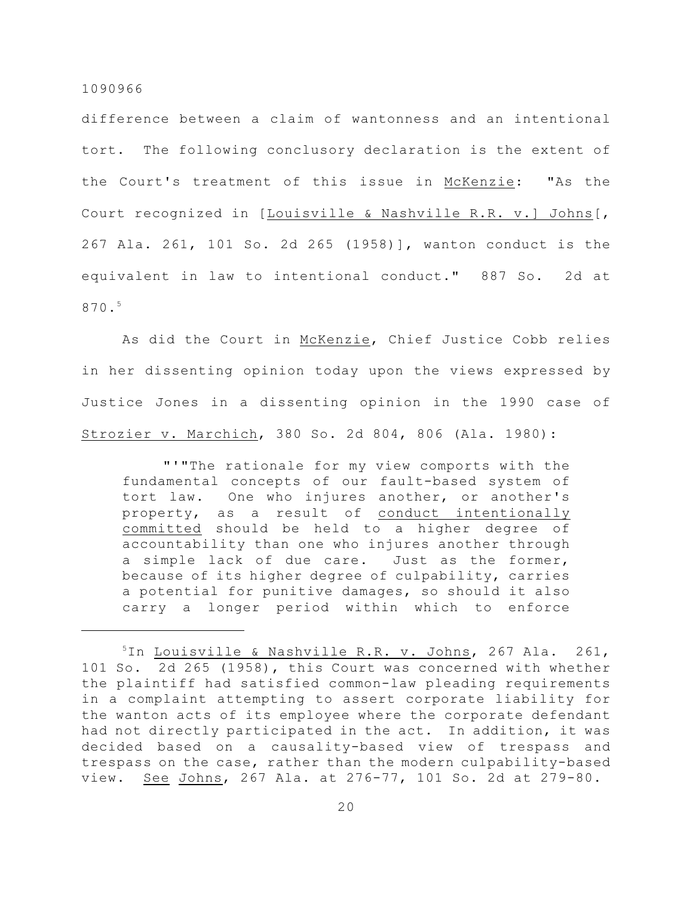difference between a claim of wantonness and an intentional tort. The following conclusory declaration is the extent of the Court's treatment of this issue in McKenzie: "As the Court recognized in [Louisville & Nashville R.R. v.] Johns[, 267 Ala. 261, 101 So. 2d 265 (1958)], wanton conduct is the equivalent in law to intentional conduct." 887 So. 2d at 870.<sup>5</sup>

As did the Court in McKenzie, Chief Justice Cobb relies in her dissenting opinion today upon the views expressed by Justice Jones in a dissenting opinion in the 1990 case of Strozier v. Marchich, 380 So. 2d 804, 806 (Ala. 1980):

"'"The rationale for my view comports with the fundamental concepts of our fault-based system of tort law. One who injures another, or another's property, as a result of conduct intentionally committed should be held to a higher degree of accountability than one who injures another through a simple lack of due care. Just as the former, because of its higher degree of culpability, carries a potential for punitive damages, so should it also carry a longer period within which to enforce

<sup>&</sup>lt;sup>5</sup>In Louisville & Nashville R.R. v. Johns, 267 Ala. 261, 101 So. 2d 265 (1958), this Court was concerned with whether the plaintiff had satisfied common-law pleading requirements in a complaint attempting to assert corporate liability for the wanton acts of its employee where the corporate defendant had not directly participated in the act. In addition, it was decided based on a causality-based view of trespass and trespass on the case, rather than the modern culpability-based view. See Johns, 267 Ala. at 276-77, 101 So. 2d at 279-80.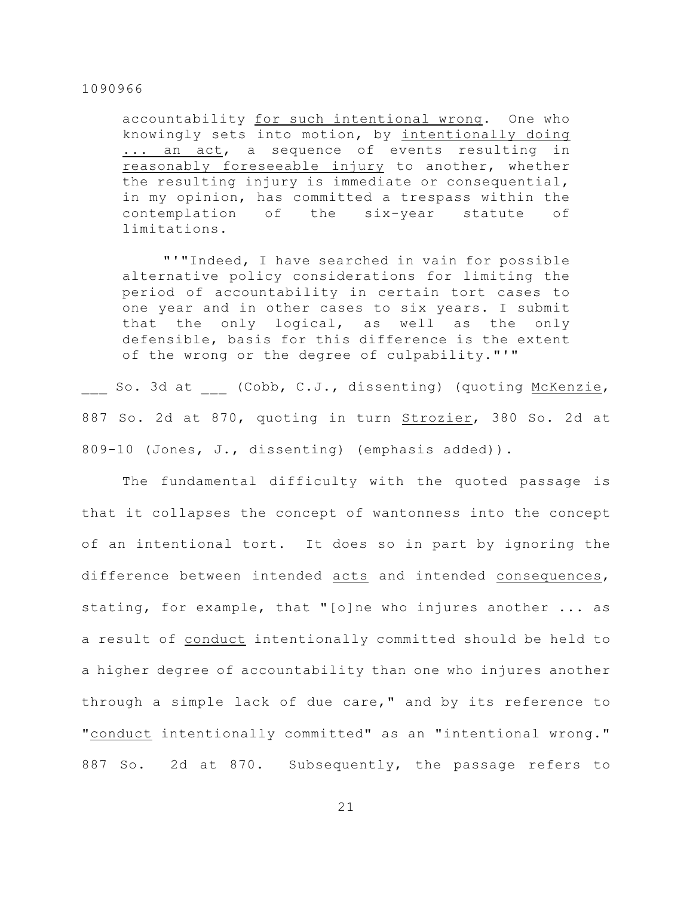accountability for such intentional wrong. One who knowingly sets into motion, by intentionally doing ... an act, a sequence of events resulting in reasonably foreseeable injury to another, whether the resulting injury is immediate or consequential, in my opinion, has committed a trespass within the contemplation of the six-year statute of limitations.

"'"Indeed, I have searched in vain for possible alternative policy considerations for limiting the period of accountability in certain tort cases to one year and in other cases to six years. I submit that the only logical, as well as the only defensible, basis for this difference is the extent of the wrong or the degree of culpability."'"

So. 3d at (Cobb, C.J., dissenting) (quoting McKenzie, 887 So. 2d at 870, quoting in turn Strozier, 380 So. 2d at 809-10 (Jones, J., dissenting) (emphasis added)).

The fundamental difficulty with the quoted passage is that it collapses the concept of wantonness into the concept of an intentional tort. It does so in part by ignoring the difference between intended acts and intended consequences, stating, for example, that "[o]ne who injures another ... as a result of conduct intentionally committed should be held to a higher degree of accountability than one who injures another through a simple lack of due care," and by its reference to "conduct intentionally committed" as an "intentional wrong." 887 So. 2d at 870. Subsequently, the passage refers to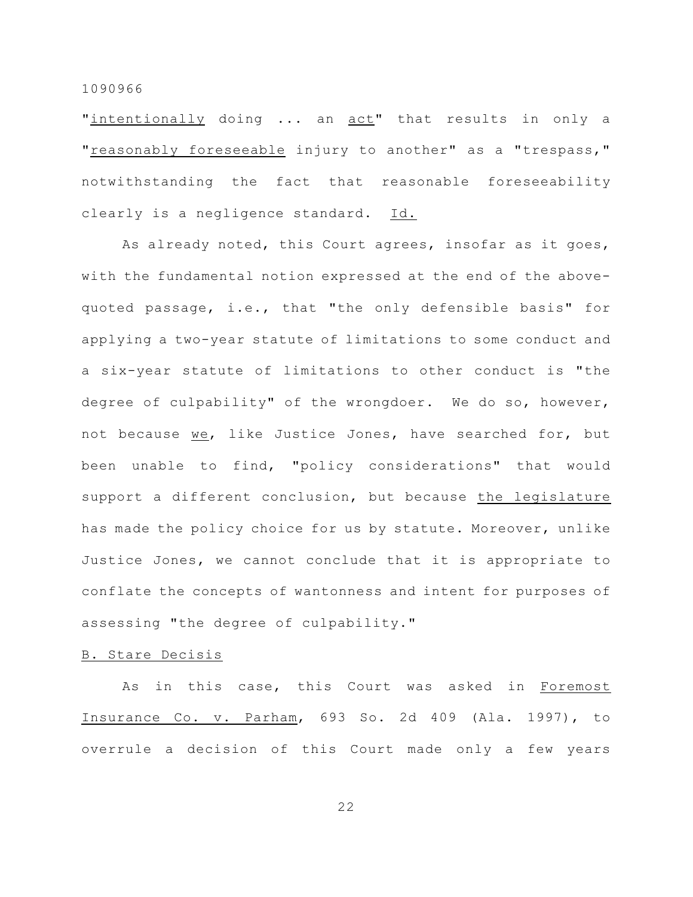"intentionally doing ... an act" that results in only a "reasonably foreseeable injury to another" as a "trespass," notwithstanding the fact that reasonable foreseeability clearly is a negligence standard. Id.

As already noted, this Court agrees, insofar as it goes, with the fundamental notion expressed at the end of the abovequoted passage, i.e., that "the only defensible basis" for applying a two-year statute of limitations to some conduct and a six-year statute of limitations to other conduct is "the degree of culpability" of the wrongdoer. We do so, however, not because we, like Justice Jones, have searched for, but been unable to find, "policy considerations" that would support a different conclusion, but because the legislature has made the policy choice for us by statute. Moreover, unlike Justice Jones, we cannot conclude that it is appropriate to conflate the concepts of wantonness and intent for purposes of assessing "the degree of culpability."

## B. Stare Decisis

As in this case, this Court was asked in Foremost Insurance Co. v. Parham, 693 So. 2d 409 (Ala. 1997), to overrule a decision of this Court made only a few years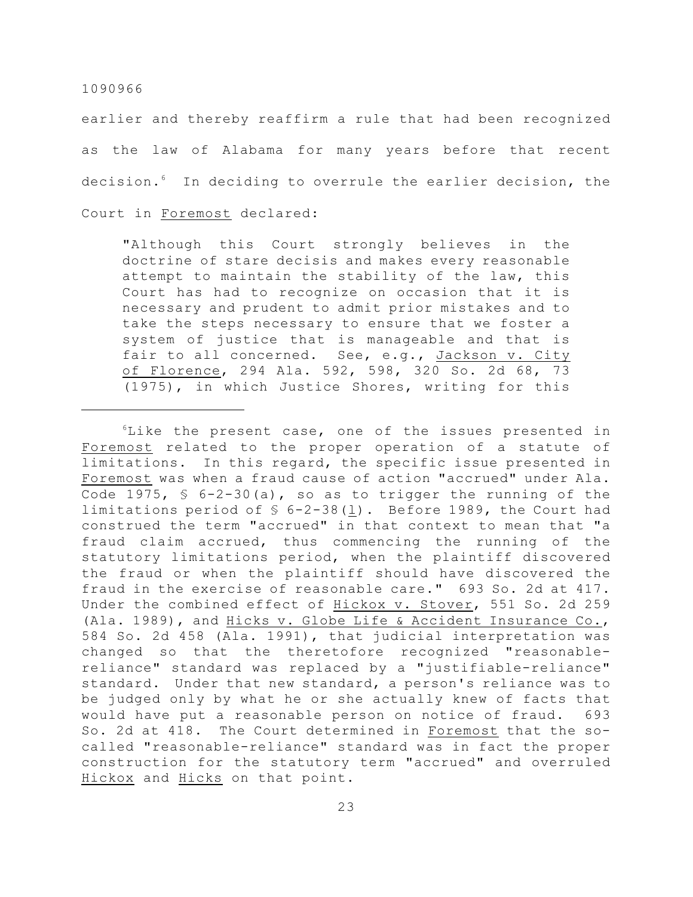earlier and thereby reaffirm a rule that had been recognized as the law of Alabama for many years before that recent decision.<sup>6</sup> In deciding to overrule the earlier decision, the Court in Foremost declared:

"Although this Court strongly believes in the doctrine of stare decisis and makes every reasonable attempt to maintain the stability of the law, this Court has had to recognize on occasion that it is necessary and prudent to admit prior mistakes and to take the steps necessary to ensure that we foster a system of justice that is manageable and that is fair to all concerned. See, e.g., Jackson v. City of Florence, 294 Ala. 592, 598, 320 So. 2d 68, 73 (1975), in which Justice Shores, writing for this

 ${}^{6}$ Like the present case, one of the issues presented in Foremost related to the proper operation of a statute of limitations. In this regard, the specific issue presented in Foremost was when a fraud cause of action "accrued" under Ala. Code 1975,  $\frac{1}{5}$  6-2-30(a), so as to trigger the running of the limitations period of § 6-2-38(l). Before 1989, the Court had construed the term "accrued" in that context to mean that "a fraud claim accrued, thus commencing the running of the statutory limitations period, when the plaintiff discovered the fraud or when the plaintiff should have discovered the fraud in the exercise of reasonable care." 693 So. 2d at 417. Under the combined effect of Hickox v. Stover, 551 So. 2d 259 (Ala. 1989), and Hicks v. Globe Life & Accident Insurance Co., 584 So. 2d 458 (Ala. 1991), that judicial interpretation was changed so that the theretofore recognized "reasonablereliance" standard was replaced by a "justifiable-reliance" standard. Under that new standard, a person's reliance was to be judged only by what he or she actually knew of facts that would have put a reasonable person on notice of fraud. 693 So. 2d at 418. The Court determined in Foremost that the socalled "reasonable-reliance" standard was in fact the proper construction for the statutory term "accrued" and overruled Hickox and Hicks on that point.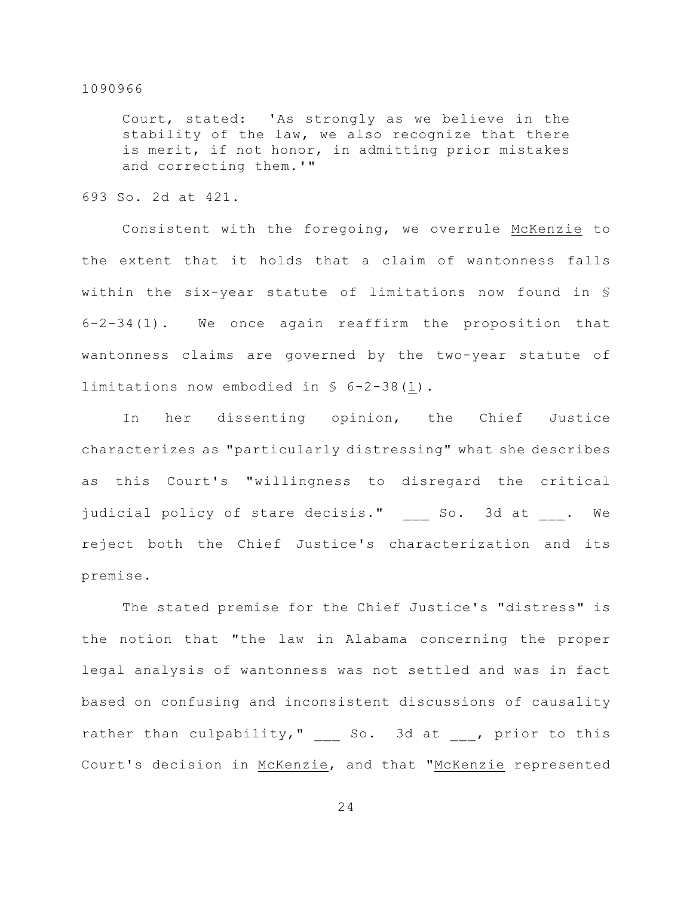Court, stated: 'As strongly as we believe in the stability of the law, we also recognize that there is merit, if not honor, in admitting prior mistakes and correcting them.'"

693 So. 2d at 421.

Consistent with the foregoing, we overrule McKenzie to the extent that it holds that a claim of wantonness falls within the six-year statute of limitations now found in § 6-2-34(1). We once again reaffirm the proposition that wantonness claims are governed by the two-year statute of limitations now embodied in § 6-2-38(l).

In her dissenting opinion, the Chief Justice characterizes as "particularly distressing" what she describes as this Court's "willingness to disregard the critical judicial policy of stare decisis." So. 3d at . We reject both the Chief Justice's characterization and its premise.

The stated premise for the Chief Justice's "distress" is the notion that "the law in Alabama concerning the proper legal analysis of wantonness was not settled and was in fact based on confusing and inconsistent discussions of causality rather than culpability," \_\_\_ So. 3d at \_\_\_, prior to this Court's decision in McKenzie, and that "McKenzie represented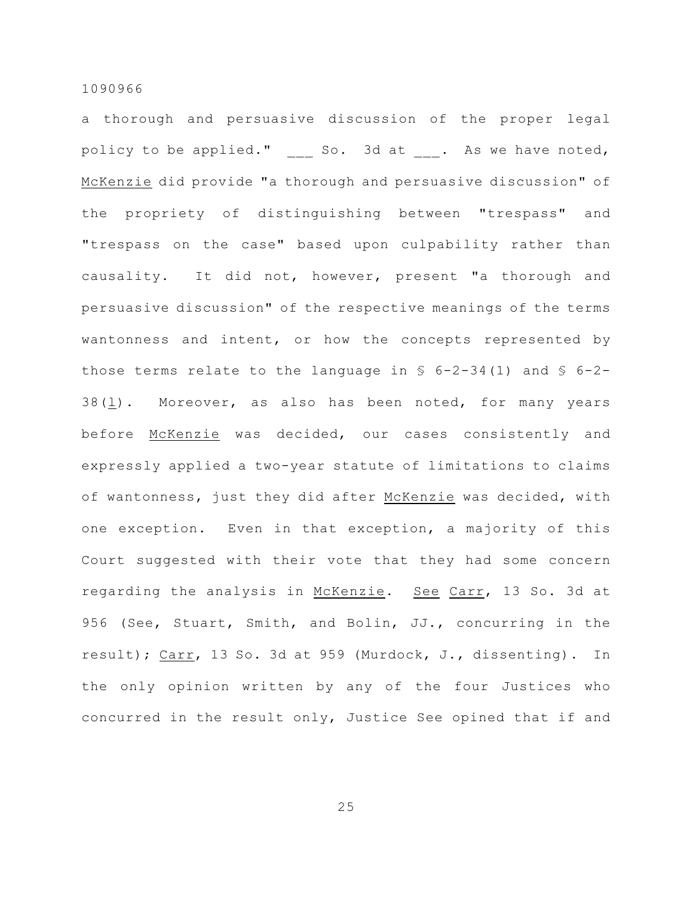a thorough and persuasive discussion of the proper legal policy to be applied." So. 3d at . As we have noted, McKenzie did provide "a thorough and persuasive discussion" of the propriety of distinguishing between "trespass" and "trespass on the case" based upon culpability rather than causality. It did not, however, present "a thorough and persuasive discussion" of the respective meanings of the terms wantonness and intent, or how the concepts represented by those terms relate to the language in  $\S$  6-2-34(1) and  $\S$  6-2-38(l). Moreover, as also has been noted, for many years before McKenzie was decided, our cases consistently and expressly applied a two-year statute of limitations to claims of wantonness, just they did after McKenzie was decided, with one exception. Even in that exception, a majority of this Court suggested with their vote that they had some concern regarding the analysis in McKenzie. See Carr, 13 So. 3d at 956 (See, Stuart, Smith, and Bolin, JJ., concurring in the result); Carr, 13 So. 3d at 959 (Murdock, J., dissenting). In the only opinion written by any of the four Justices who concurred in the result only, Justice See opined that if and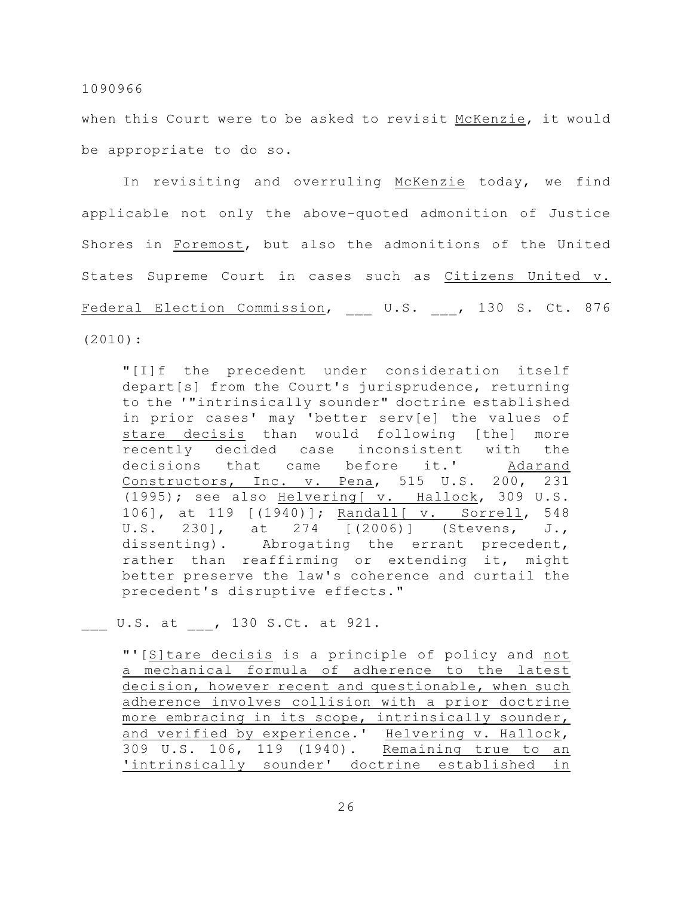when this Court were to be asked to revisit McKenzie, it would be appropriate to do so.

In revisiting and overruling McKenzie today, we find applicable not only the above-quoted admonition of Justice Shores in Foremost, but also the admonitions of the United States Supreme Court in cases such as Citizens United v. Federal Election Commission, U.S. , 130 S. Ct. 876 (2010):

"[I]f the precedent under consideration itself depart[s] from the Court's jurisprudence, returning to the '"intrinsically sounder" doctrine established in prior cases' may 'better serv[e] the values of stare decisis than would following [the] more recently decided case inconsistent with the decisions that came before it.' Adarand Constructors, Inc. v. Pena, 515 U.S. 200, 231 (1995); see also Helvering[ v. Hallock, 309 U.S. 106], at 119 [(1940)]; Randall[ v. Sorrell, 548 U.S. 230], at 274 [(2006)] (Stevens, J., dissenting). Abrogating the errant precedent, rather than reaffirming or extending it, might better preserve the law's coherence and curtail the precedent's disruptive effects."

\_\_\_ U.S. at \_\_\_, 130 S.Ct. at 921.

"'[S]tare decisis is a principle of policy and not a mechanical formula of adherence to the latest decision, however recent and questionable, when such adherence involves collision with a prior doctrine more embracing in its scope, intrinsically sounder, and verified by experience.' Helvering v. Hallock, 309 U.S. 106, 119 (1940). Remaining true to an 'intrinsically sounder' doctrine established in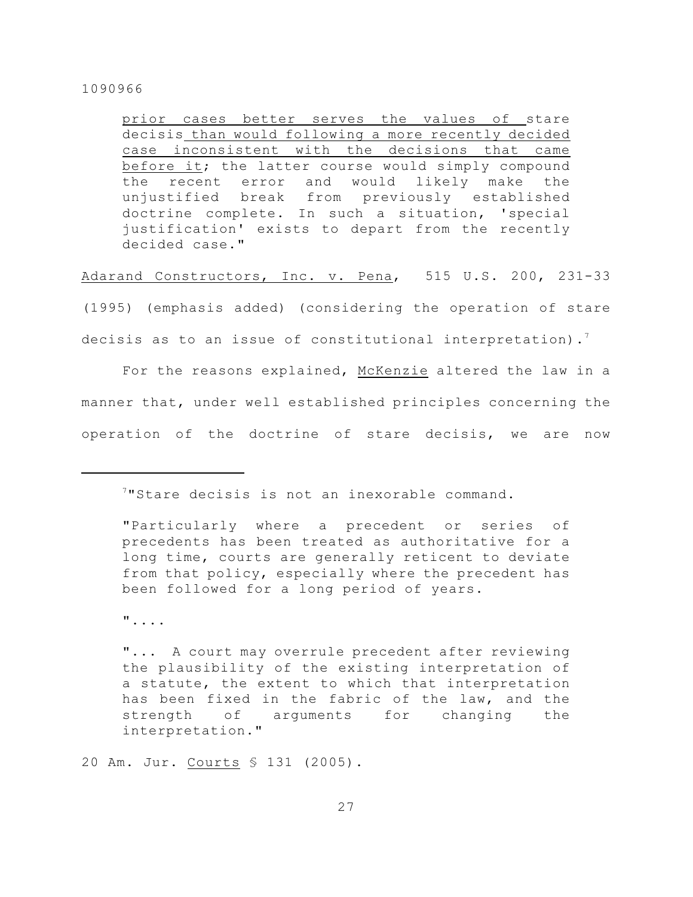prior cases better serves the values of stare decisis than would following a more recently decided case inconsistent with the decisions that came before it; the latter course would simply compound the recent error and would likely make the unjustified break from previously established doctrine complete. In such a situation, 'special justification' exists to depart from the recently decided case."

Adarand Constructors, Inc. v. Pena, 515 U.S. 200, 231-33 (1995) (emphasis added) (considering the operation of stare decisis as to an issue of constitutional interpretation).<sup>7</sup>

For the reasons explained, McKenzie altered the law in a manner that, under well established principles concerning the operation of the doctrine of stare decisis, we are now

<sup>7</sup> "Stare decisis is not an inexorable command.

"....

"... A court may overrule precedent after reviewing the plausibility of the existing interpretation of a statute, the extent to which that interpretation has been fixed in the fabric of the law, and the strength of arguments for changing the interpretation."

20 Am. Jur. Courts § 131 (2005).

<sup>&</sup>quot;Particularly where a precedent or series of precedents has been treated as authoritative for a long time, courts are generally reticent to deviate from that policy, especially where the precedent has been followed for a long period of years.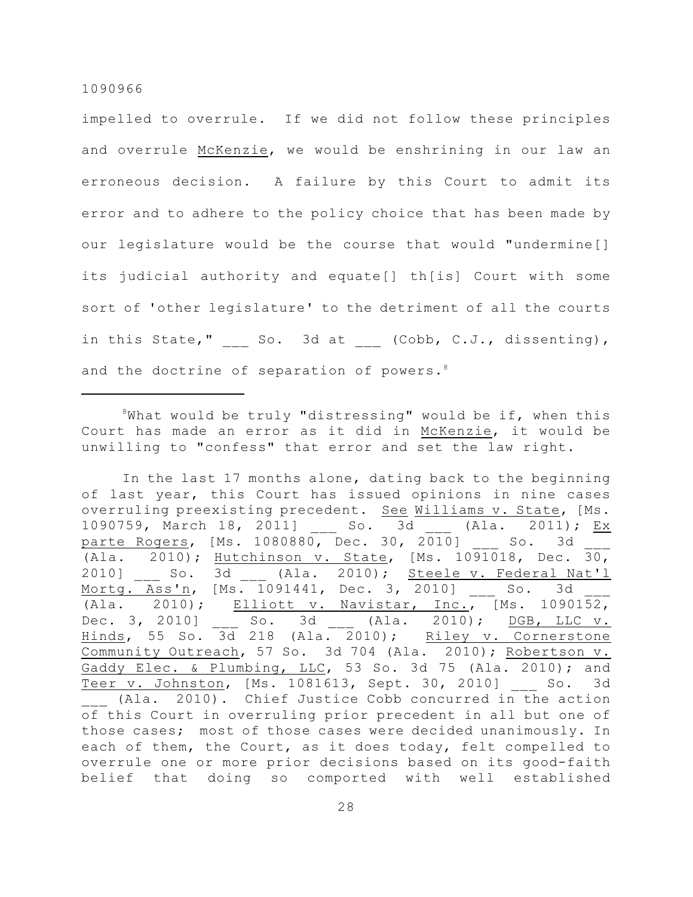impelled to overrule. If we did not follow these principles and overrule McKenzie, we would be enshrining in our law an erroneous decision. A failure by this Court to admit its error and to adhere to the policy choice that has been made by our legislature would be the course that would "undermine[] its judicial authority and equate[] th[is] Court with some sort of 'other legislature' to the detriment of all the courts in this State,"  $\qquad \qquad$  So. 3d at  $\qquad \qquad$  (Cobb, C.J., dissenting), and the doctrine of separation of powers.<sup>8</sup>

 $8$ What would be truly "distressing" would be if, when this Court has made an error as it did in McKenzie, it would be unwilling to "confess" that error and set the law right.

In the last 17 months alone, dating back to the beginning of last year, this Court has issued opinions in nine cases overruling preexisting precedent. See Williams v. State, [Ms. 1090759, March 18, 2011] \_\_\_ So. 3d \_\_\_ (Ala. 2011); Ex parte Rogers, [Ms. 1080880, Dec. 30, 2010] So. 3d (Ala. 2010); Hutchinson v. State, [Ms. 1091018, Dec. 30, 2010] So. 3d (Ala. 2010); Steele v. Federal Nat'l Mortg. Ass'n, [Ms. 1091441, Dec. 3, 2010] So. 3d (Ala. 2010); Elliott v. Navistar, Inc.,  $MS. 1090152$ , Dec. 3, 2010] \_\_\_ So. 3d \_\_\_ (Ala. 2010); DGB, LLC v. Hinds, 55 So. 3d 218 (Ala. 2010); Riley v. Cornerstone Community Outreach, 57 So. 3d 704 (Ala. 2010); Robertson v. Gaddy Elec. & Plumbing, LLC, 53 So. 3d 75 (Ala. 2010); and Teer v. Johnston, [Ms. 1081613, Sept. 30, 2010] So. 3d \_\_\_ (Ala. 2010). Chief Justice Cobb concurred in the action of this Court in overruling prior precedent in all but one of those cases; most of those cases were decided unanimously. In each of them, the Court, as it does today, felt compelled to overrule one or more prior decisions based on its good-faith belief that doing so comported with well established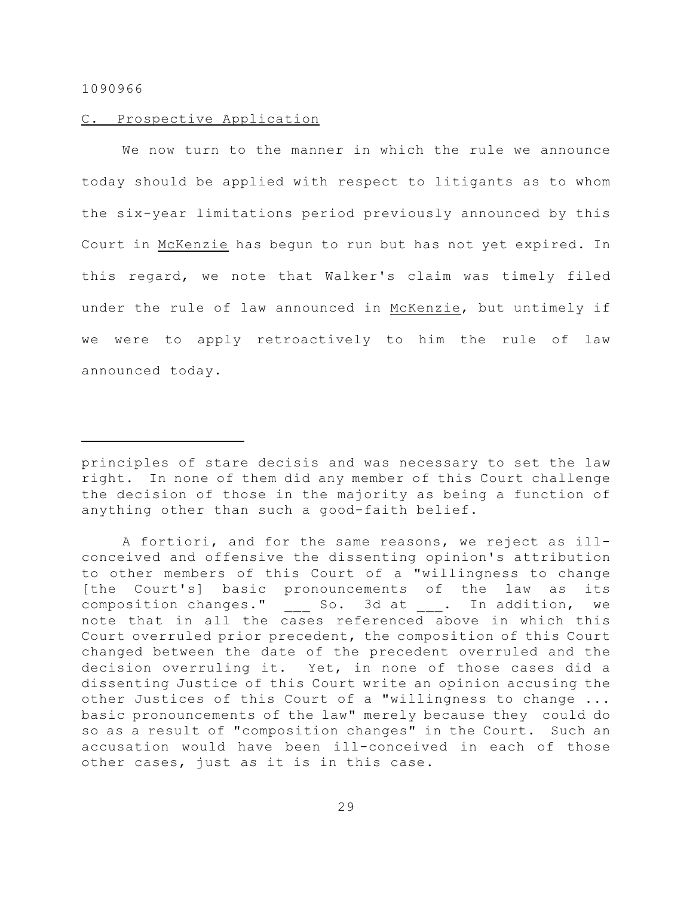## C. Prospective Application

We now turn to the manner in which the rule we announce today should be applied with respect to litigants as to whom the six-year limitations period previously announced by this Court in McKenzie has begun to run but has not yet expired. In this regard, we note that Walker's claim was timely filed under the rule of law announced in McKenzie, but untimely if we were to apply retroactively to him the rule of law announced today.

A fortiori, and for the same reasons, we reject as illconceived and offensive the dissenting opinion's attribution to other members of this Court of a "willingness to change [the Court's] basic pronouncements of the law as its composition changes." \_\_\_ So. 3d at \_\_\_. In addition, we note that in all the cases referenced above in which this Court overruled prior precedent, the composition of this Court changed between the date of the precedent overruled and the decision overruling it. Yet, in none of those cases did a dissenting Justice of this Court write an opinion accusing the other Justices of this Court of a "willingness to change ... basic pronouncements of the law" merely because they could do so as a result of "composition changes" in the Court. Such an accusation would have been ill-conceived in each of those other cases, just as it is in this case.

principles of stare decisis and was necessary to set the law right. In none of them did any member of this Court challenge the decision of those in the majority as being a function of anything other than such a good-faith belief.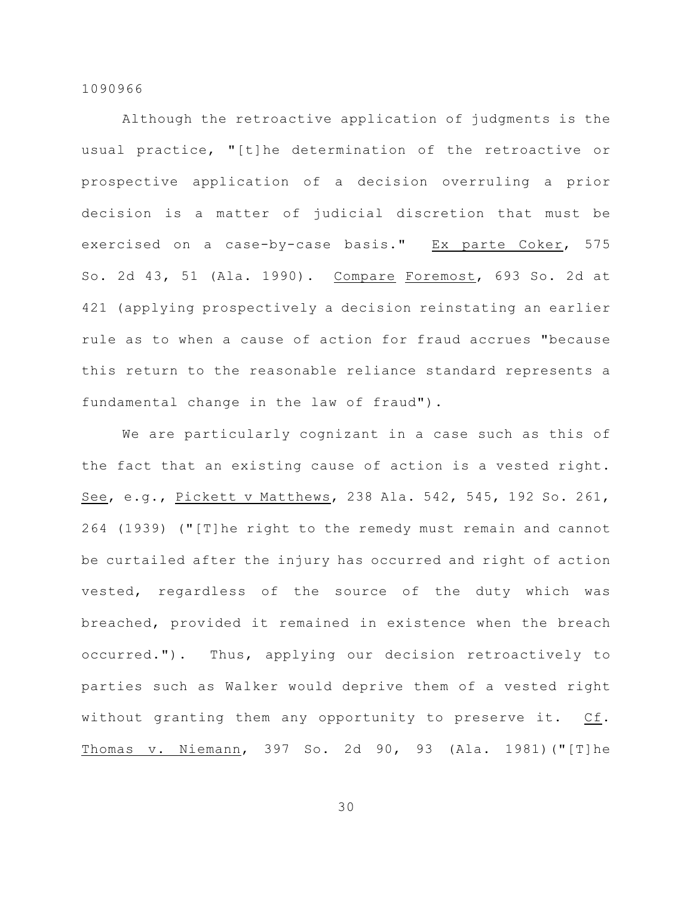Although the retroactive application of judgments is the usual practice, "[t]he determination of the retroactive or prospective application of a decision overruling a prior decision is a matter of judicial discretion that must be exercised on a case-by-case basis." Ex parte Coker, 575 So. 2d 43, 51 (Ala. 1990). Compare Foremost, 693 So. 2d at 421 (applying prospectively a decision reinstating an earlier rule as to when a cause of action for fraud accrues "because this return to the reasonable reliance standard represents a fundamental change in the law of fraud").

We are particularly cognizant in a case such as this of the fact that an existing cause of action is a vested right. See, e.g., Pickett v Matthews, 238 Ala. 542, 545, 192 So. 261, 264 (1939) ("[T]he right to the remedy must remain and cannot be curtailed after the injury has occurred and right of action vested, regardless of the source of the duty which was breached, provided it remained in existence when the breach occurred."). Thus, applying our decision retroactively to parties such as Walker would deprive them of a vested right without granting them any opportunity to preserve it. Cf. Thomas v. Niemann, 397 So. 2d 90, 93 (Ala. 1981)("[T]he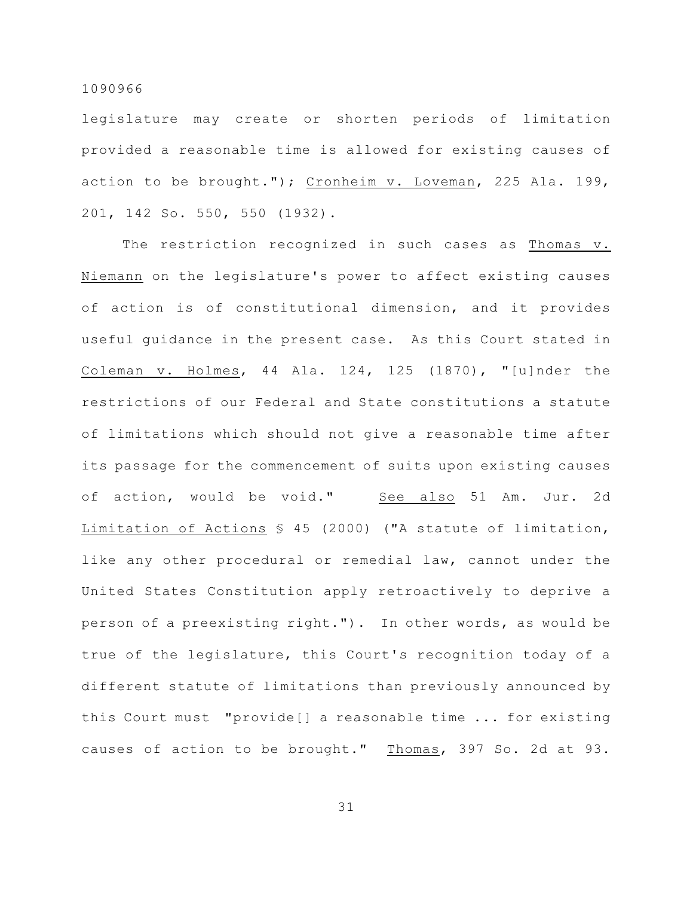legislature may create or shorten periods of limitation provided a reasonable time is allowed for existing causes of action to be brought."); Cronheim v. Loveman, 225 Ala. 199, 201, 142 So. 550, 550 (1932).

The restriction recognized in such cases as Thomas v. Niemann on the legislature's power to affect existing causes of action is of constitutional dimension, and it provides useful guidance in the present case. As this Court stated in Coleman v. Holmes,  $44$  Ala.  $124$ ,  $125$   $(1870)$ , "[u]nder the restrictions of our Federal and State constitutions a statute of limitations which should not give a reasonable time after its passage for the commencement of suits upon existing causes of action, would be void." See also 51 Am. Jur. 2d Limitation of Actions § 45 (2000) ("A statute of limitation, like any other procedural or remedial law, cannot under the United States Constitution apply retroactively to deprive a person of a preexisting right."). In other words, as would be true of the legislature, this Court's recognition today of a different statute of limitations than previously announced by this Court must "provide[] a reasonable time ... for existing causes of action to be brought." Thomas, 397 So. 2d at 93.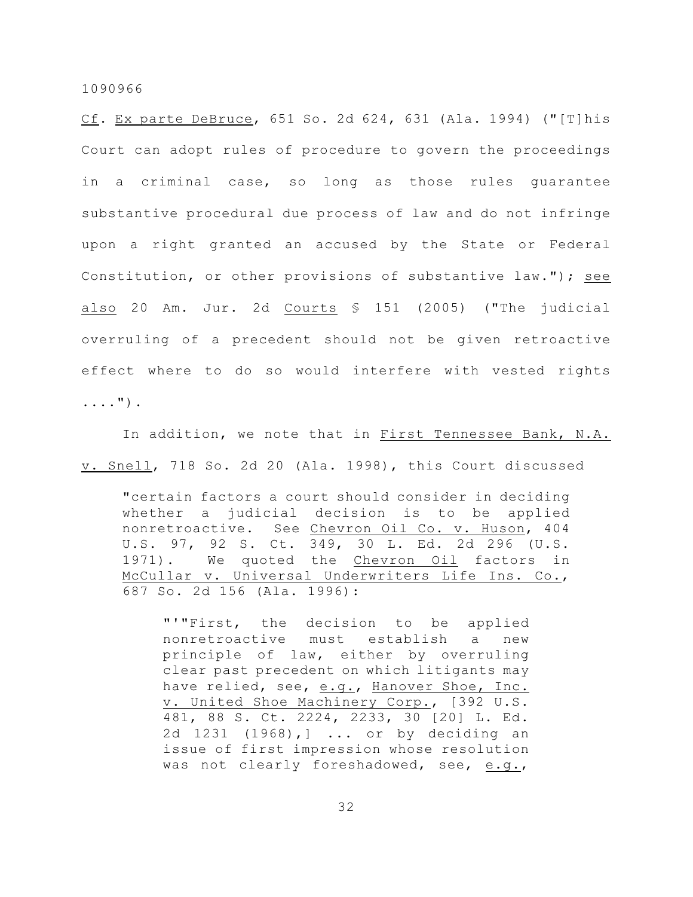Cf. Ex parte DeBruce, 651 So. 2d 624, 631 (Ala. 1994) ("[T]his Court can adopt rules of procedure to govern the proceedings in a criminal case, so long as those rules guarantee substantive procedural due process of law and do not infringe upon a right granted an accused by the State or Federal Constitution, or other provisions of substantive law."); see also 20 Am. Jur. 2d Courts § 151 (2005) ("The judicial overruling of a precedent should not be given retroactive effect where to do so would interfere with vested rights ....").

In addition, we note that in First Tennessee Bank, N.A. v. Snell, 718 So. 2d 20 (Ala. 1998), this Court discussed

"certain factors a court should consider in deciding whether a judicial decision is to be applied nonretroactive. See Chevron Oil Co. v. Huson, 404 U.S. 97, 92 S. Ct. 349, 30 L. Ed. 2d 296 (U.S. 1971). We quoted the Chevron Oil factors in McCullar v. Universal Underwriters Life Ins. Co., 687 So. 2d 156 (Ala. 1996):

"'"First, the decision to be applied nonretroactive must establish a new principle of law, either by overruling clear past precedent on which litigants may have relied, see, e.g., Hanover Shoe, Inc. v. United Shoe Machinery Corp., [392 U.S. 481, 88 S. Ct. 2224, 2233, 30 [20] L. Ed. 2d 1231 (1968),] ... or by deciding an issue of first impression whose resolution was not clearly foreshadowed, see, e.g.,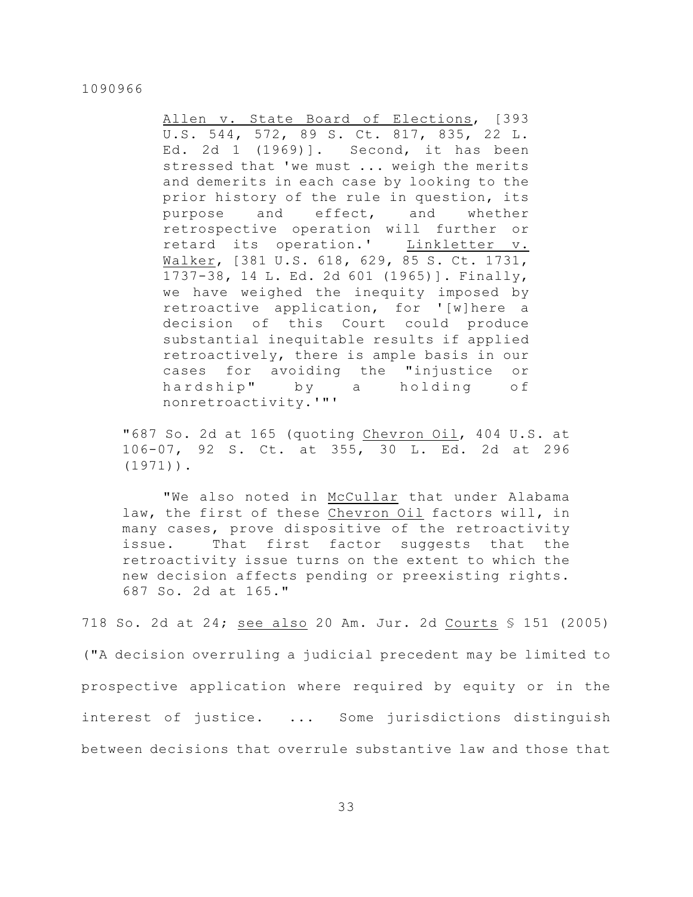Allen v. State Board of Elections, [393 U.S. 544, 572, 89 S. Ct. 817, 835, 22 L. Ed. 2d 1 (1969)]. Second, it has been stressed that 'we must ... weigh the merits and demerits in each case by looking to the prior history of the rule in question, its purpose and effect, and whether retrospective operation will further or retard its operation.' Linkletter v. Walker, [381 U.S. 618, 629, 85 S. Ct. 1731, 1737-38, 14 L. Ed. 2d 601 (1965)]. Finally, we have weighed the inequity imposed by retroactive application, for '[w]here a decision of this Court could produce substantial inequitable results if applied retroactively, there is ample basis in our cases for avoiding the "injustice or hardship" by a holding of nonretroactivity.'"'

"687 So. 2d at 165 (quoting Chevron Oil, 404 U.S. at 106-07, 92 S. Ct. at 355, 30 L. Ed. 2d at 296 (1971)).

"We also noted in McCullar that under Alabama law, the first of these Chevron Oil factors will, in many cases, prove dispositive of the retroactivity issue. That first factor suggests that the retroactivity issue turns on the extent to which the new decision affects pending or preexisting rights. 687 So. 2d at 165."

718 So. 2d at 24; see also 20 Am. Jur. 2d Courts § 151 (2005) ("A decision overruling a judicial precedent may be limited to prospective application where required by equity or in the interest of justice. ... Some jurisdictions distinguish between decisions that overrule substantive law and those that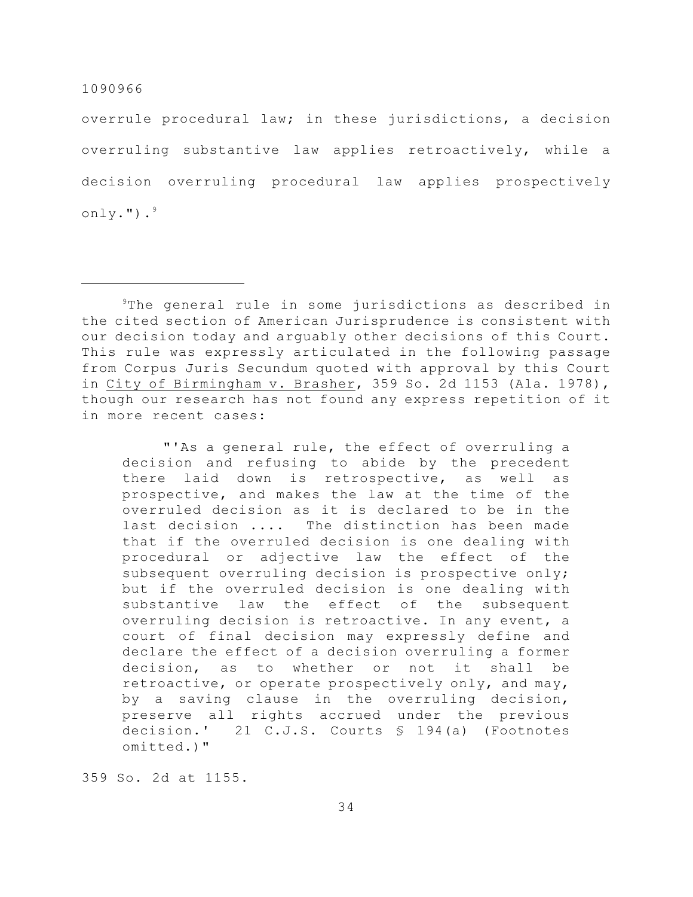overrule procedural law; in these jurisdictions, a decision overruling substantive law applies retroactively, while a decision overruling procedural law applies prospectively only."). $9$ 

"'As a general rule, the effect of overruling a decision and refusing to abide by the precedent there laid down is retrospective, as well as prospective, and makes the law at the time of the overruled decision as it is declared to be in the last decision .... The distinction has been made that if the overruled decision is one dealing with procedural or adjective law the effect of the subsequent overruling decision is prospective only; but if the overruled decision is one dealing with substantive law the effect of the subsequent overruling decision is retroactive. In any event, a court of final decision may expressly define and declare the effect of a decision overruling a former decision, as to whether or not it shall be retroactive, or operate prospectively only, and may, by a saving clause in the overruling decision, preserve all rights accrued under the previous decision.' 21 C.J.S. Courts § 194(a) (Footnotes omitted.)"

359 So. 2d at 1155.

 $9$ The general rule in some jurisdictions as described in the cited section of American Jurisprudence is consistent with our decision today and arguably other decisions of this Court. This rule was expressly articulated in the following passage from Corpus Juris Secundum quoted with approval by this Court in City of Birmingham v. Brasher, 359 So. 2d 1153 (Ala. 1978), though our research has not found any express repetition of it in more recent cases: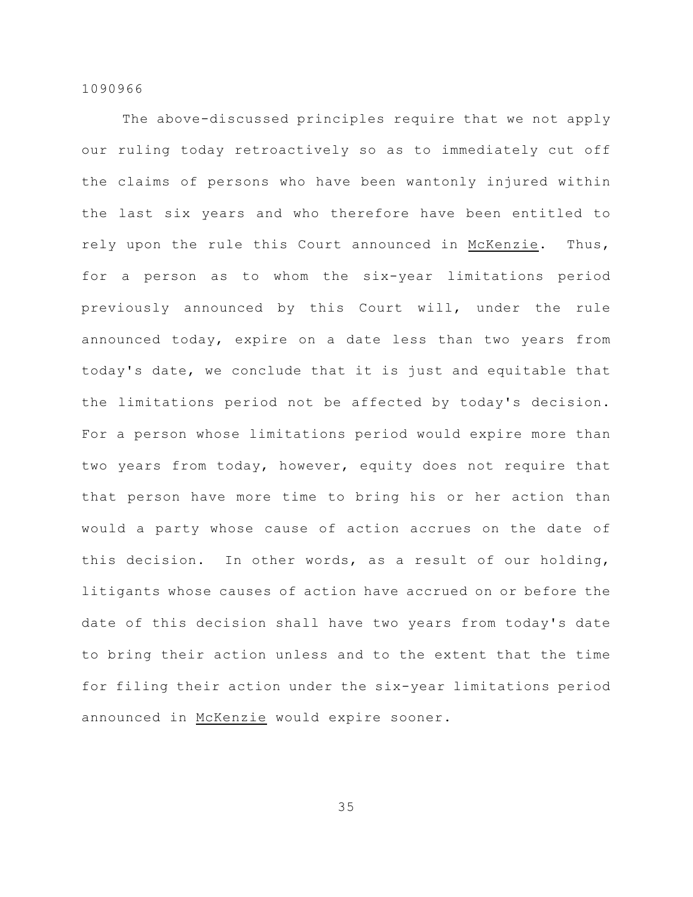The above-discussed principles require that we not apply our ruling today retroactively so as to immediately cut off the claims of persons who have been wantonly injured within the last six years and who therefore have been entitled to rely upon the rule this Court announced in McKenzie. Thus, for a person as to whom the six-year limitations period previously announced by this Court will, under the rule announced today, expire on a date less than two years from today's date, we conclude that it is just and equitable that the limitations period not be affected by today's decision. For a person whose limitations period would expire more than two years from today, however, equity does not require that that person have more time to bring his or her action than would a party whose cause of action accrues on the date of this decision. In other words, as a result of our holding, litigants whose causes of action have accrued on or before the date of this decision shall have two years from today's date to bring their action unless and to the extent that the time for filing their action under the six-year limitations period announced in McKenzie would expire sooner.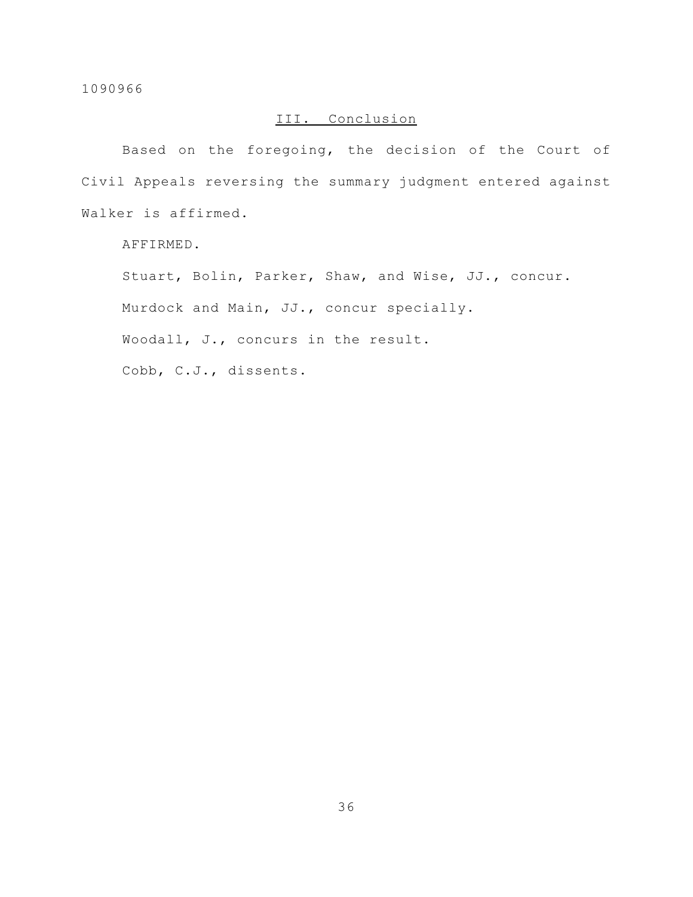# III. Conclusion

Based on the foregoing, the decision of the Court of Civil Appeals reversing the summary judgment entered against Walker is affirmed.

AFFIRMED.

Stuart, Bolin, Parker, Shaw, and Wise, JJ., concur.

Murdock and Main, JJ., concur specially.

Woodall, J., concurs in the result.

Cobb, C.J., dissents.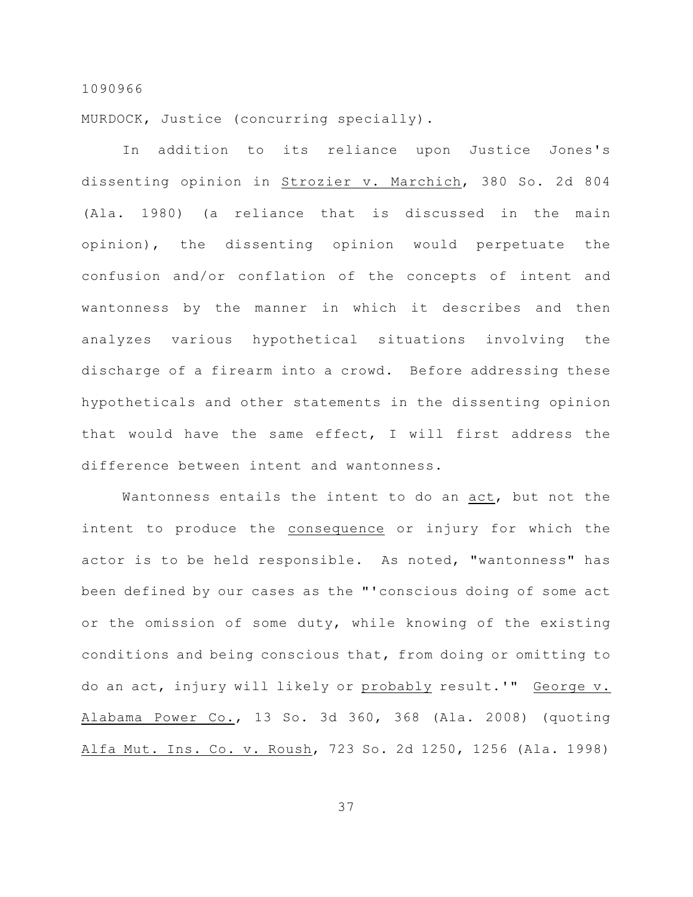MURDOCK, Justice (concurring specially).

In addition to its reliance upon Justice Jones's dissenting opinion in Strozier v. Marchich, 380 So. 2d 804 (Ala. 1980) (a reliance that is discussed in the main opinion), the dissenting opinion would perpetuate the confusion and/or conflation of the concepts of intent and wantonness by the manner in which it describes and then analyzes various hypothetical situations involving the discharge of a firearm into a crowd. Before addressing these hypotheticals and other statements in the dissenting opinion that would have the same effect, I will first address the difference between intent and wantonness.

Wantonness entails the intent to do an act, but not the intent to produce the consequence or injury for which the actor is to be held responsible. As noted, "wantonness" has been defined by our cases as the "'conscious doing of some act or the omission of some duty, while knowing of the existing conditions and being conscious that, from doing or omitting to do an act, injury will likely or probably result.'" George v. Alabama Power Co., 13 So. 3d 360, 368 (Ala. 2008) (quoting Alfa Mut. Ins. Co. v. Roush, 723 So. 2d 1250, 1256 (Ala. 1998)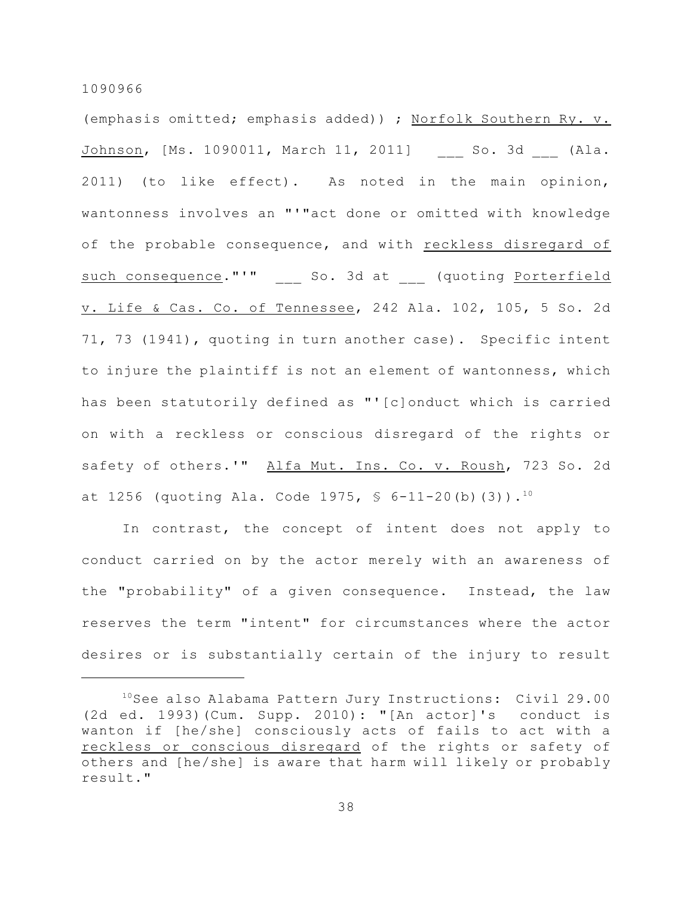(emphasis omitted; emphasis added)) ; Norfolk Southern Ry. v. Johnson, [Ms. 1090011, March 11, 2011] So. 3d (Ala. 2011) (to like effect). As noted in the main opinion, wantonness involves an "'"act done or omitted with knowledge of the probable consequence, and with reckless disregard of such consequence."'" \_\_\_ So. 3d at \_\_\_ (quoting Porterfield v. Life & Cas. Co. of Tennessee, 242 Ala. 102, 105, 5 So. 2d 71, 73 (1941), quoting in turn another case). Specific intent to injure the plaintiff is not an element of wantonness, which has been statutorily defined as "'[c]onduct which is carried on with a reckless or conscious disregard of the rights or safety of others.'" Alfa Mut. Ins. Co. v. Roush, 723 So. 2d at 1256 (quoting Ala. Code 1975,  $\frac{1}{5}$  6-11-20(b)(3)).<sup>10</sup>

In contrast, the concept of intent does not apply to conduct carried on by the actor merely with an awareness of the "probability" of a given consequence. Instead, the law reserves the term "intent" for circumstances where the actor desires or is substantially certain of the injury to result

 $10$ See also Alabama Pattern Jury Instructions: Civil 29.00 (2d ed. 1993)(Cum. Supp. 2010): "[An actor]'s conduct is wanton if [he/she] consciously acts of fails to act with a reckless or conscious disregard of the rights or safety of others and [he/she] is aware that harm will likely or probably result."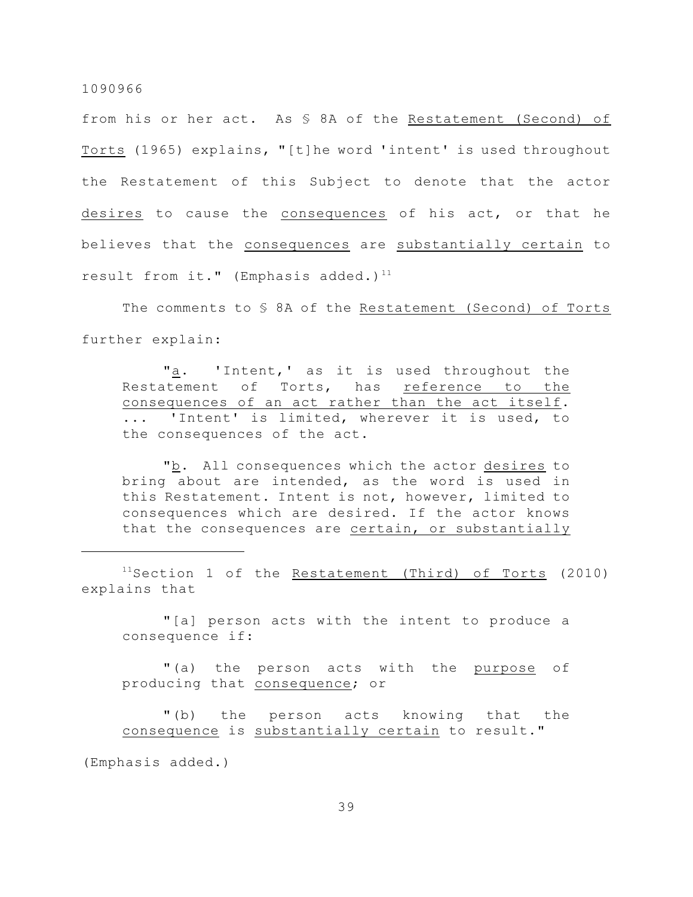from his or her act. As § 8A of the Restatement (Second) of Torts (1965) explains, "[t]he word 'intent' is used throughout the Restatement of this Subject to denote that the actor desires to cause the consequences of his act, or that he believes that the consequences are substantially certain to result from it." (Emphasis added.)<sup>11</sup>

The comments to § 8A of the Restatement (Second) of Torts further explain:

"a. 'Intent,' as it is used throughout the Restatement of Torts, has reference to the consequences of an act rather than the act itself. ... 'Intent' is limited, wherever it is used, to the consequences of the act.

"b. All consequences which the actor desires to bring about are intended, as the word is used in this Restatement. Intent is not, however, limited to consequences which are desired. If the actor knows that the consequences are certain, or substantially

 $11$ Section 1 of the Restatement (Third) of Torts (2010) explains that

"[a] person acts with the intent to produce a consequence if:

"(a) the person acts with the purpose of producing that consequence; or

"(b) the person acts knowing that the consequence is substantially certain to result."

(Emphasis added.)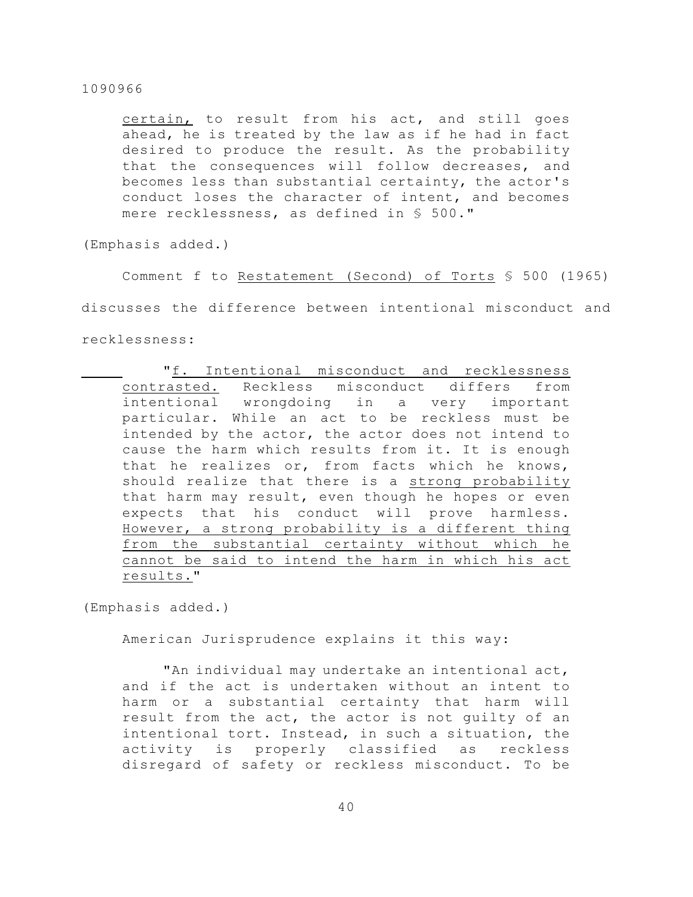certain, to result from his act, and still goes ahead, he is treated by the law as if he had in fact desired to produce the result. As the probability that the consequences will follow decreases, and becomes less than substantial certainty, the actor's conduct loses the character of intent, and becomes mere recklessness, as defined in § 500."

(Emphasis added.)

Comment f to Restatement (Second) of Torts § 500 (1965)

discusses the difference between intentional misconduct and

recklessness:

"f. Intentional misconduct and recklessness contrasted. Reckless misconduct differs from intentional wrongdoing in a very important particular. While an act to be reckless must be intended by the actor, the actor does not intend to cause the harm which results from it. It is enough that he realizes or, from facts which he knows, should realize that there is a strong probability that harm may result, even though he hopes or even expects that his conduct will prove harmless. However, a strong probability is a different thing from the substantial certainty without which he cannot be said to intend the harm in which his act results."

(Emphasis added.)

American Jurisprudence explains it this way:

"An individual may undertake an intentional act, and if the act is undertaken without an intent to harm or a substantial certainty that harm will result from the act, the actor is not guilty of an intentional tort. Instead, in such a situation, the activity is properly classified as reckless disregard of safety or reckless misconduct. To be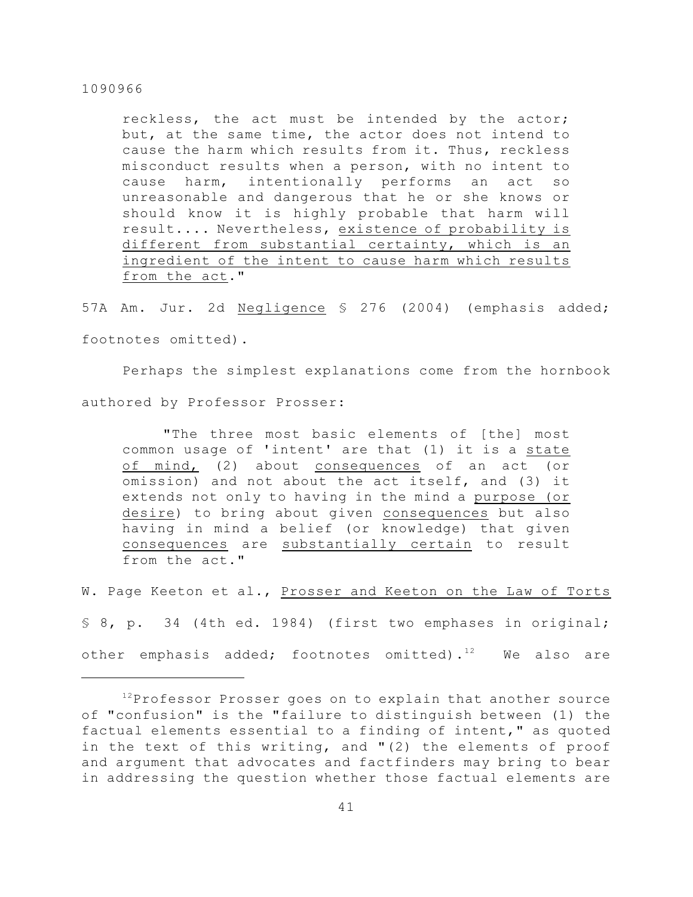reckless, the act must be intended by the actor; but, at the same time, the actor does not intend to cause the harm which results from it. Thus, reckless misconduct results when a person, with no intent to cause harm, intentionally performs an act so unreasonable and dangerous that he or she knows or should know it is highly probable that harm will result.... Nevertheless, existence of probability is different from substantial certainty, which is an ingredient of the intent to cause harm which results from the act."

57A Am. Jur. 2d Negligence § 276 (2004) (emphasis added; footnotes omitted).

Perhaps the simplest explanations come from the hornbook authored by Professor Prosser:

"The three most basic elements of [the] most common usage of 'intent' are that (1) it is a state of mind, (2) about consequences of an act (or omission) and not about the act itself, and (3) it extends not only to having in the mind a purpose (or desire) to bring about given consequences but also having in mind a belief (or knowledge) that given consequences are substantially certain to result from the act."

W. Page Keeton et al., Prosser and Keeton on the Law of Torts § 8, p. 34 (4th ed. 1984) (first two emphases in original; other emphasis added; footnotes omitted). $12$  We also are

 $12$ Professor Prosser goes on to explain that another source of "confusion" is the "failure to distinguish between (1) the factual elements essential to a finding of intent," as quoted in the text of this writing, and "(2) the elements of proof and argument that advocates and factfinders may bring to bear in addressing the question whether those factual elements are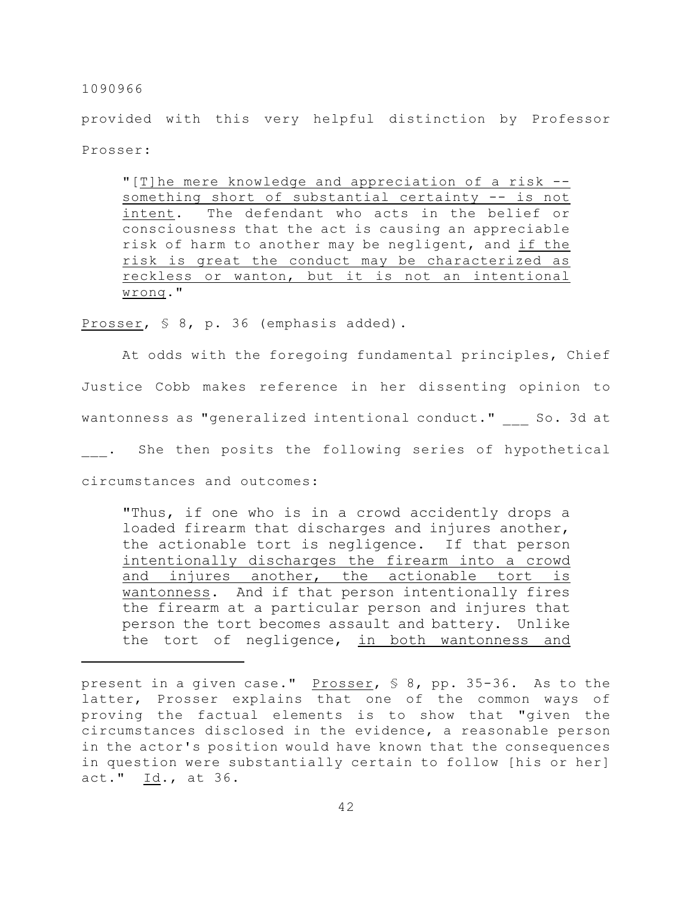provided with this very helpful distinction by Professor Prosser:

"[T]he mere knowledge and appreciation of a risk - something short of substantial certainty -- is not intent. The defendant who acts in the belief or consciousness that the act is causing an appreciable risk of harm to another may be negligent, and if the risk is great the conduct may be characterized as reckless or wanton, but it is not an intentional wrong."

Prosser, § 8, p. 36 (emphasis added).

At odds with the foregoing fundamental principles, Chief Justice Cobb makes reference in her dissenting opinion to wantonness as "generalized intentional conduct." So. 3d at . She then posits the following series of hypothetical circumstances and outcomes:

"Thus, if one who is in a crowd accidently drops a loaded firearm that discharges and injures another, the actionable tort is negligence. If that person intentionally discharges the firearm into a crowd and injures another, the actionable tort is wantonness. And if that person intentionally fires the firearm at a particular person and injures that person the tort becomes assault and battery. Unlike the tort of negligence, in both wantonness and

present in a given case." Prosser, § 8, pp. 35-36. As to the latter, Prosser explains that one of the common ways of proving the factual elements is to show that "given the circumstances disclosed in the evidence, a reasonable person in the actor's position would have known that the consequences in question were substantially certain to follow [his or her] act." Id., at 36.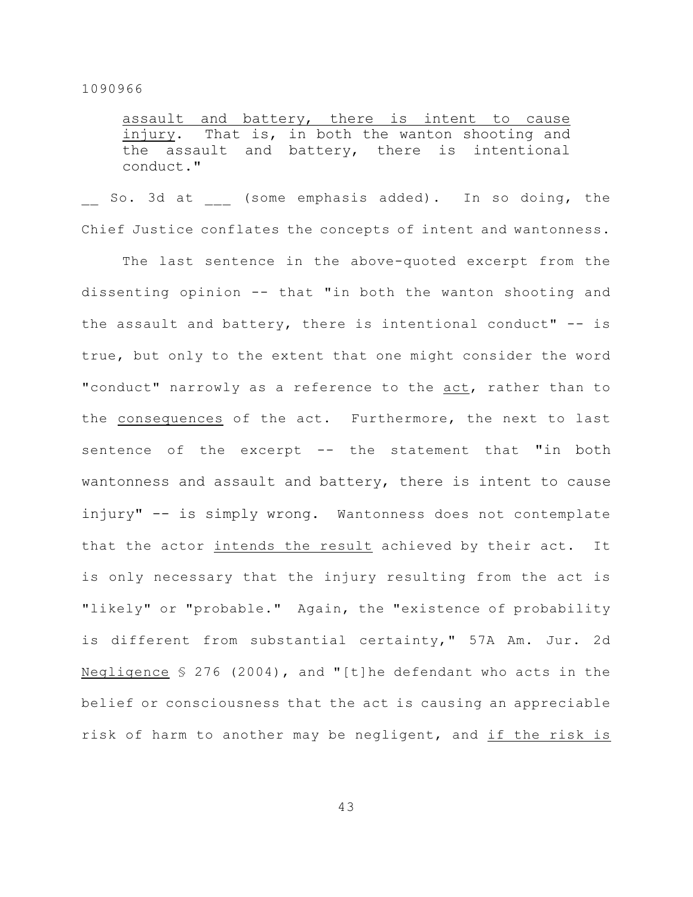assault and battery, there is intent to cause injury. That is, in both the wanton shooting and the assault and battery, there is intentional conduct."

So. 3d at (some emphasis added). In so doing, the Chief Justice conflates the concepts of intent and wantonness.

The last sentence in the above-quoted excerpt from the dissenting opinion -- that "in both the wanton shooting and the assault and battery, there is intentional conduct" -- is true, but only to the extent that one might consider the word "conduct" narrowly as a reference to the act, rather than to the consequences of the act. Furthermore, the next to last sentence of the excerpt -- the statement that "in both wantonness and assault and battery, there is intent to cause injury" -- is simply wrong. Wantonness does not contemplate that the actor intends the result achieved by their act. It is only necessary that the injury resulting from the act is "likely" or "probable." Again, the "existence of probability is different from substantial certainty," 57A Am. Jur. 2d Negligence § 276 (2004), and "[t]he defendant who acts in the belief or consciousness that the act is causing an appreciable risk of harm to another may be negligent, and if the risk is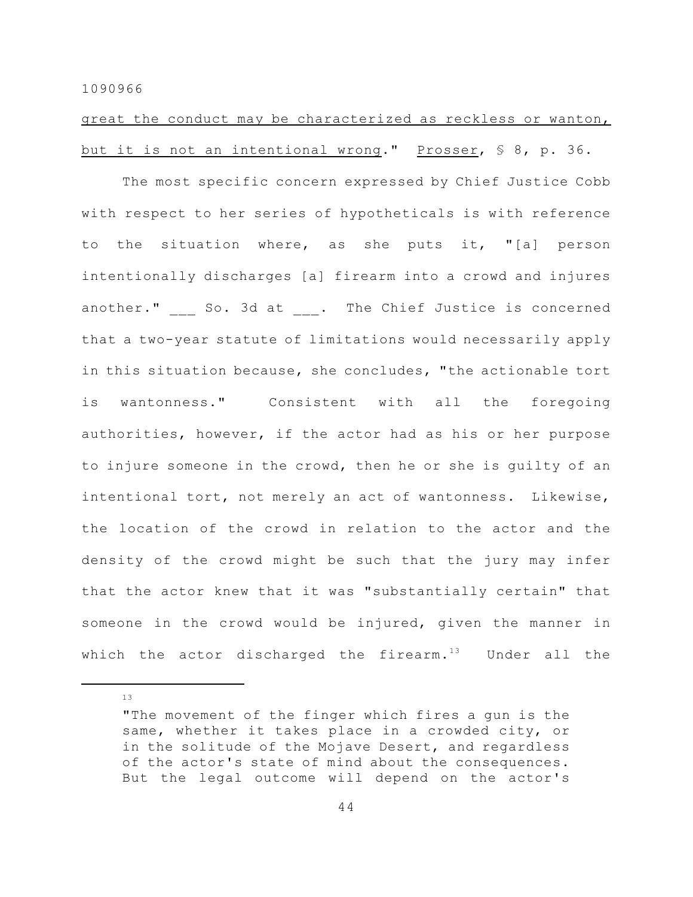great the conduct may be characterized as reckless or wanton, but it is not an intentional wrong." Prosser, § 8, p. 36.

The most specific concern expressed by Chief Justice Cobb with respect to her series of hypotheticals is with reference to the situation where, as she puts it, "[a] person intentionally discharges [a] firearm into a crowd and injures another." So. 3d at . The Chief Justice is concerned that a two-year statute of limitations would necessarily apply in this situation because, she concludes, "the actionable tort is wantonness." Consistent with all the foregoing authorities, however, if the actor had as his or her purpose to injure someone in the crowd, then he or she is guilty of an intentional tort, not merely an act of wantonness. Likewise, the location of the crowd in relation to the actor and the density of the crowd might be such that the jury may infer that the actor knew that it was "substantially certain" that someone in the crowd would be injured, given the manner in which the actor discharged the firearm. $13$  Under all the

<sup>&</sup>quot;The movement of the finger which fires a gun is the same, whether it takes place in a crowded city, or in the solitude of the Mojave Desert, and regardless of the actor's state of mind about the consequences. But the legal outcome will depend on the actor's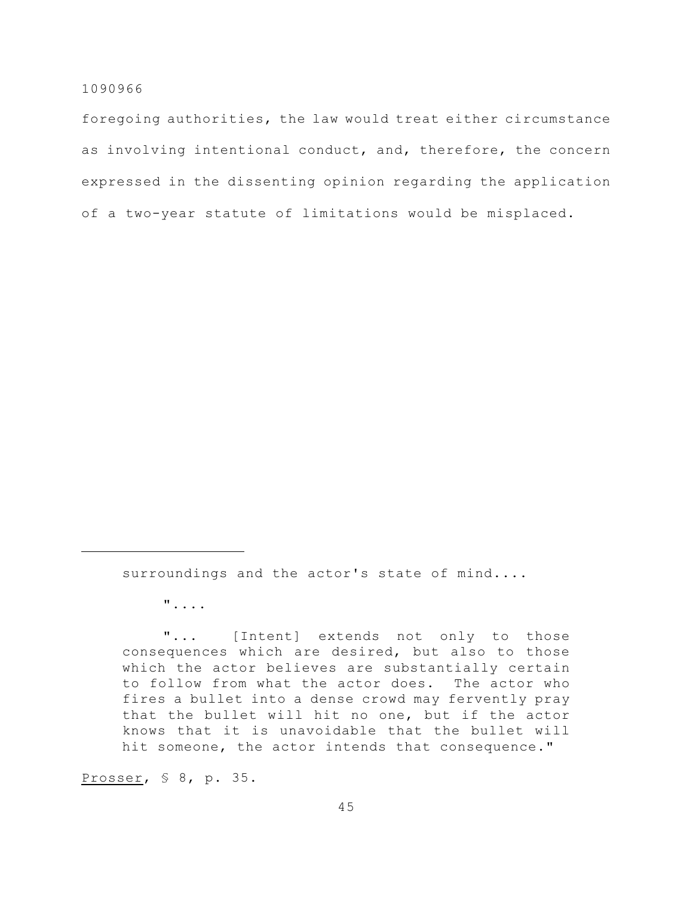foregoing authorities, the law would treat either circumstance as involving intentional conduct, and, therefore, the concern expressed in the dissenting opinion regarding the application of a two-year statute of limitations would be misplaced.

surroundings and the actor's state of mind....

"....

"... [Intent] extends not only to those consequences which are desired, but also to those which the actor believes are substantially certain to follow from what the actor does. The actor who fires a bullet into a dense crowd may fervently pray that the bullet will hit no one, but if the actor knows that it is unavoidable that the bullet will hit someone, the actor intends that consequence."

Prosser, § 8, p. 35.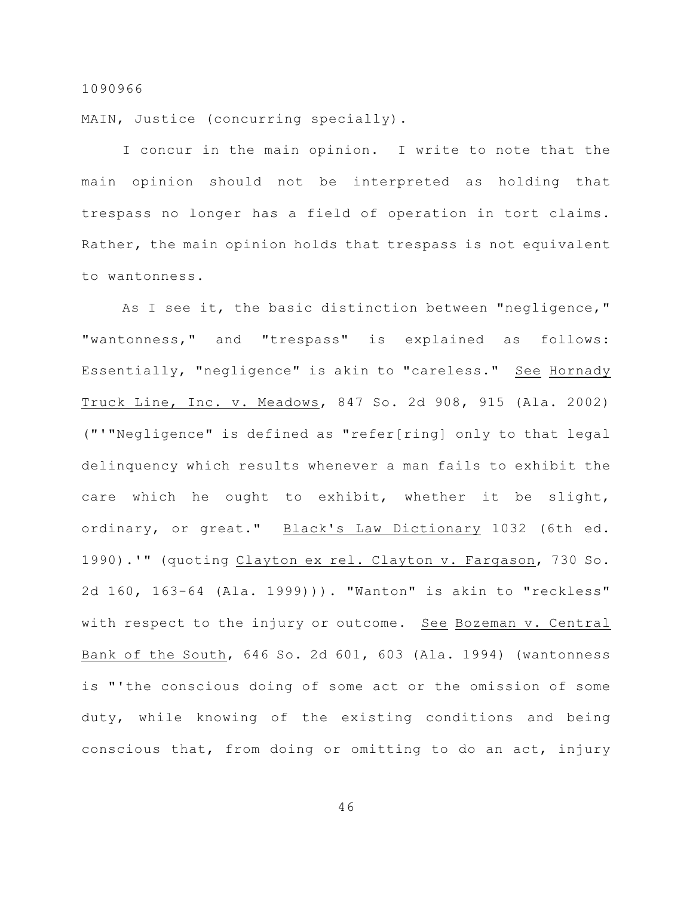MAIN, Justice (concurring specially).

I concur in the main opinion. I write to note that the main opinion should not be interpreted as holding that trespass no longer has a field of operation in tort claims. Rather, the main opinion holds that trespass is not equivalent to wantonness.

As I see it, the basic distinction between "negligence," "wantonness," and "trespass" is explained as follows: Essentially, "negligence" is akin to "careless." See Hornady Truck Line, Inc. v. Meadows, 847 So. 2d 908, 915 (Ala. 2002) ("'"Negligence" is defined as "refer[ring] only to that legal delinquency which results whenever a man fails to exhibit the care which he ought to exhibit, whether it be slight, ordinary, or great." Black's Law Dictionary 1032 (6th ed. 1990).'" (quoting Clayton ex rel. Clayton v. Fargason, 730 So. 2d 160, 163-64 (Ala. 1999))). "Wanton" is akin to "reckless" with respect to the injury or outcome. See Bozeman v. Central Bank of the South, 646 So. 2d 601, 603 (Ala. 1994) (wantonness is "'the conscious doing of some act or the omission of some duty, while knowing of the existing conditions and being conscious that, from doing or omitting to do an act, injury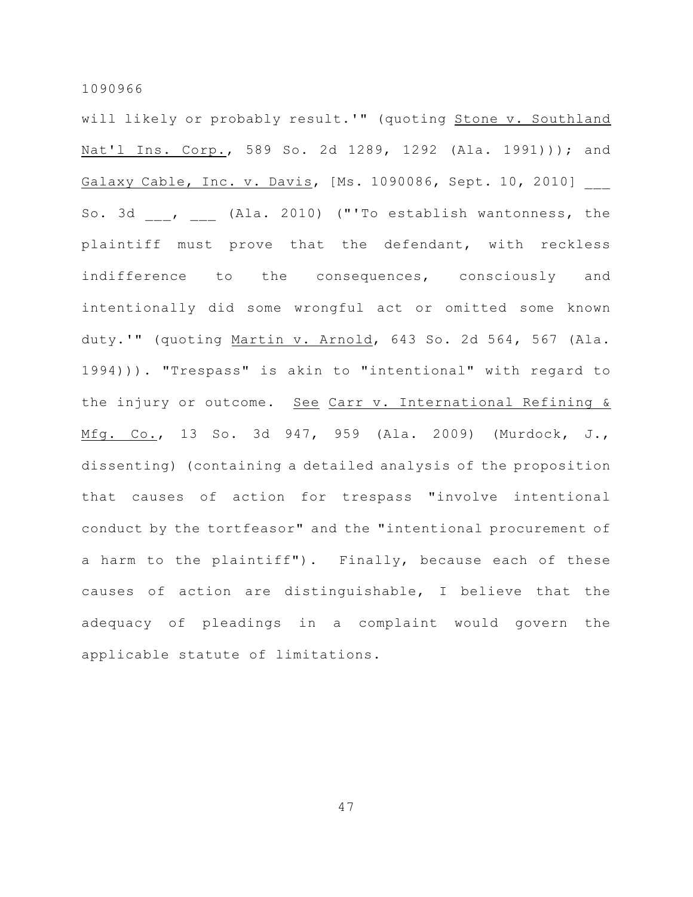will likely or probably result.'" (quoting Stone v. Southland Nat'l Ins. Corp., 589 So. 2d 1289, 1292 (Ala. 1991))); and Galaxy Cable, Inc. v. Davis, [Ms. 1090086, Sept. 10, 2010] So. 3d \_\_\_, \_\_\_ (Ala. 2010) ("'To establish wantonness, the plaintiff must prove that the defendant, with reckless indifference to the consequences, consciously and intentionally did some wrongful act or omitted some known duty.'" (quoting Martin v. Arnold, 643 So. 2d 564, 567 (Ala. 1994))). "Trespass" is akin to "intentional" with regard to the injury or outcome. See Carr v. International Refining & Mfg. Co., 13 So. 3d 947, 959 (Ala. 2009) (Murdock, J., dissenting) (containing a detailed analysis of the proposition that causes of action for trespass "involve intentional conduct by the tortfeasor" and the "intentional procurement of a harm to the plaintiff"). Finally, because each of these causes of action are distinguishable, I believe that the adequacy of pleadings in a complaint would govern the applicable statute of limitations.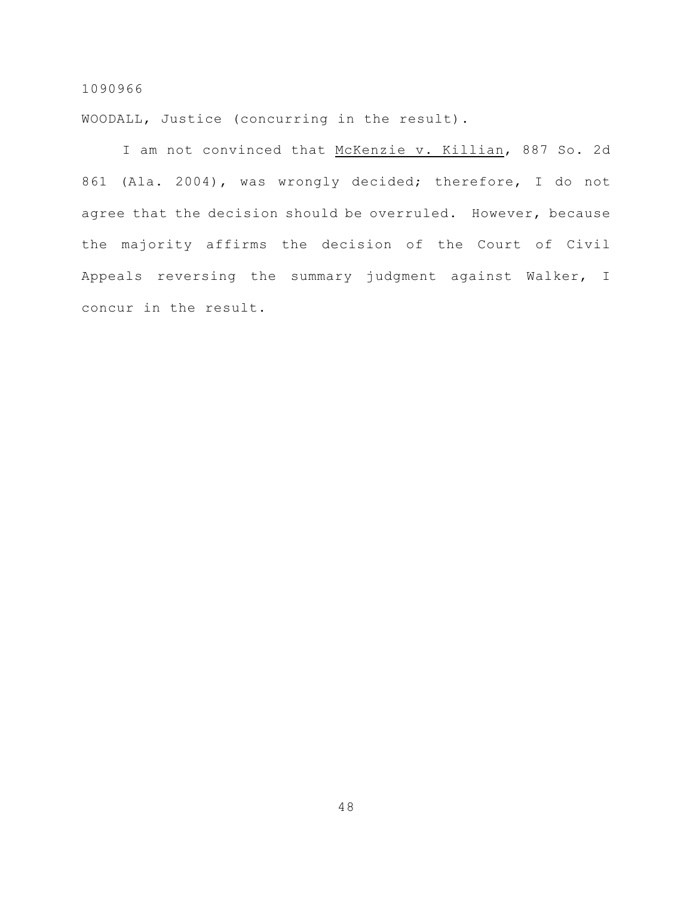WOODALL, Justice (concurring in the result).

I am not convinced that McKenzie v. Killian, 887 So. 2d 861 (Ala. 2004), was wrongly decided; therefore, I do not agree that the decision should be overruled. However, because the majority affirms the decision of the Court of Civil Appeals reversing the summary judgment against Walker, I concur in the result.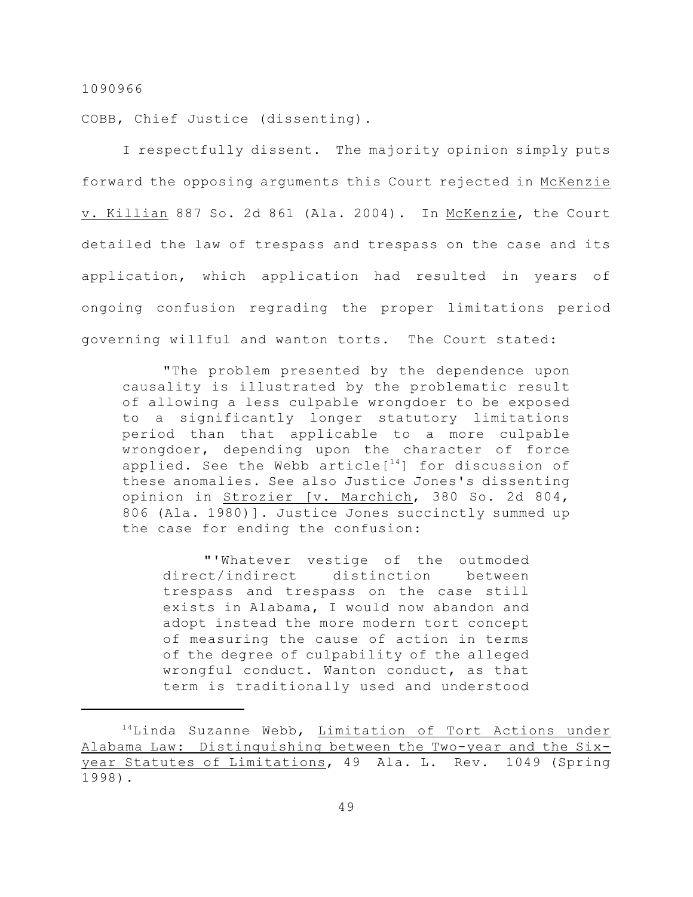COBB, Chief Justice (dissenting).

I respectfully dissent. The majority opinion simply puts forward the opposing arguments this Court rejected in McKenzie v. Killian 887 So. 2d 861 (Ala. 2004). In McKenzie, the Court detailed the law of trespass and trespass on the case and its application, which application had resulted in years of ongoing confusion regrading the proper limitations period governing willful and wanton torts. The Court stated:

"The problem presented by the dependence upon causality is illustrated by the problematic result of allowing a less culpable wrongdoer to be exposed to a significantly longer statutory limitations period than that applicable to a more culpable wrongdoer, depending upon the character of force applied. See the Webb article $[14]$  for discussion of these anomalies. See also Justice Jones's dissenting opinion in Strozier [v. Marchich, 380 So. 2d 804, 806 (Ala. 1980)]. Justice Jones succinctly summed up the case for ending the confusion:

"'Whatever vestige of the outmoded direct/indirect distinction between trespass and trespass on the case still exists in Alabama, I would now abandon and adopt instead the more modern tort concept of measuring the cause of action in terms of the degree of culpability of the alleged wrongful conduct. Wanton conduct, as that term is traditionally used and understood

 $14$ Linda Suzanne Webb, Limitation of Tort Actions under Alabama Law: Distinguishing between the Two-year and the Sixyear Statutes of Limitations, 49 Ala. L. Rev. 1049 (Spring 1998).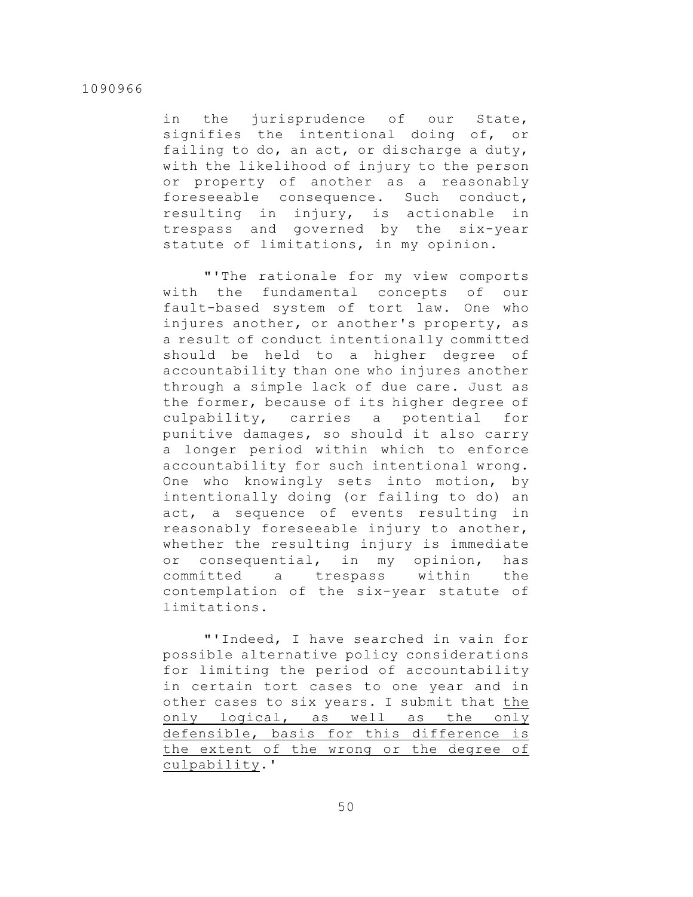in the jurisprudence of our State, signifies the intentional doing of, or failing to do, an act, or discharge a duty, with the likelihood of injury to the person or property of another as a reasonably foreseeable consequence. Such conduct, resulting in injury, is actionable in trespass and governed by the six-year statute of limitations, in my opinion.

"'The rationale for my view comports with the fundamental concepts of our fault-based system of tort law. One who injures another, or another's property, as a result of conduct intentionally committed should be held to a higher degree of accountability than one who injures another through a simple lack of due care. Just as the former, because of its higher degree of culpability, carries a potential for punitive damages, so should it also carry a longer period within which to enforce accountability for such intentional wrong. One who knowingly sets into motion, by intentionally doing (or failing to do) an act, a sequence of events resulting in reasonably foreseeable injury to another, whether the resulting injury is immediate or consequential, in my opinion, has committed a trespass within the contemplation of the six-year statute of limitations.

"'Indeed, I have searched in vain for possible alternative policy considerations for limiting the period of accountability in certain tort cases to one year and in other cases to six years. I submit that the only logical, as well as the only defensible, basis for this difference is the extent of the wrong or the degree of culpability.'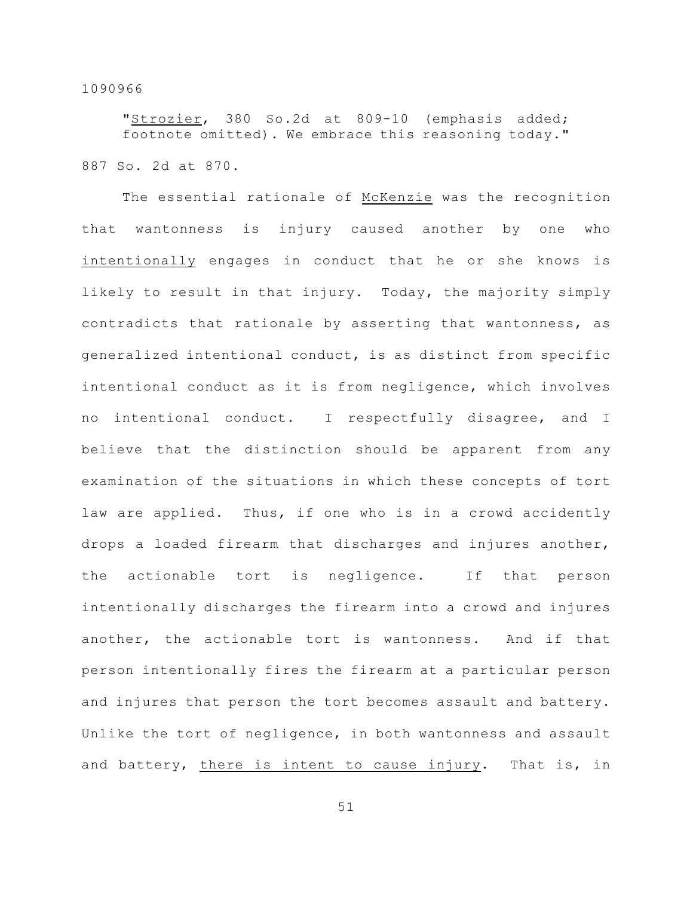"Strozier, 380 So.2d at 809-10 (emphasis added; footnote omitted). We embrace this reasoning today." 887 So. 2d at 870.

The essential rationale of McKenzie was the recognition that wantonness is injury caused another by one who intentionally engages in conduct that he or she knows is likely to result in that injury. Today, the majority simply contradicts that rationale by asserting that wantonness, as generalized intentional conduct, is as distinct from specific intentional conduct as it is from negligence, which involves no intentional conduct. I respectfully disagree, and I believe that the distinction should be apparent from any examination of the situations in which these concepts of tort law are applied. Thus, if one who is in a crowd accidently drops a loaded firearm that discharges and injures another, the actionable tort is negligence. If that person intentionally discharges the firearm into a crowd and injures another, the actionable tort is wantonness. And if that person intentionally fires the firearm at a particular person and injures that person the tort becomes assault and battery. Unlike the tort of negligence, in both wantonness and assault and battery, there is intent to cause injury. That is, in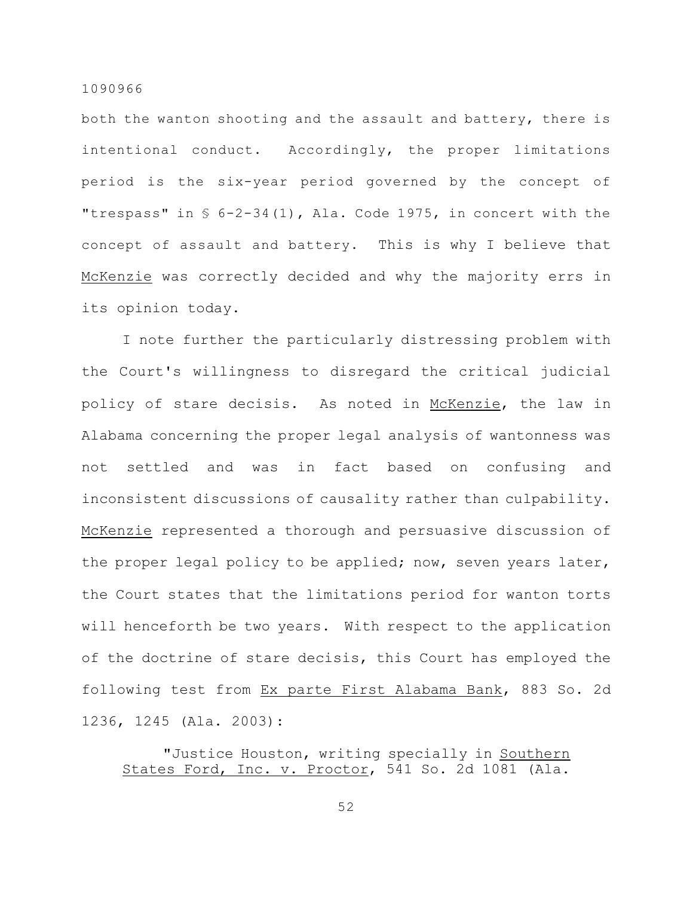both the wanton shooting and the assault and battery, there is intentional conduct. Accordingly, the proper limitations period is the six-year period governed by the concept of "trespass" in § 6-2-34(1), Ala. Code 1975, in concert with the concept of assault and battery. This is why I believe that McKenzie was correctly decided and why the majority errs in its opinion today.

I note further the particularly distressing problem with the Court's willingness to disregard the critical judicial policy of stare decisis. As noted in McKenzie, the law in Alabama concerning the proper legal analysis of wantonness was not settled and was in fact based on confusing and inconsistent discussions of causality rather than culpability. McKenzie represented a thorough and persuasive discussion of the proper legal policy to be applied; now, seven years later, the Court states that the limitations period for wanton torts will henceforth be two years. With respect to the application of the doctrine of stare decisis, this Court has employed the following test from Ex parte First Alabama Bank, 883 So. 2d 1236, 1245 (Ala. 2003):

"Justice Houston, writing specially in Southern States Ford, Inc. v. Proctor, 541 So. 2d 1081 (Ala.